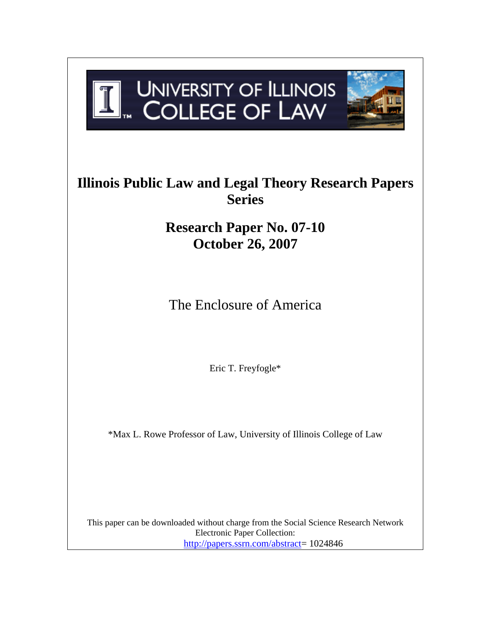

This paper can be downloaded without charge from the Social Science Research Network Electronic Paper Collection: http://papers.ssrn.com/abstract= 1024846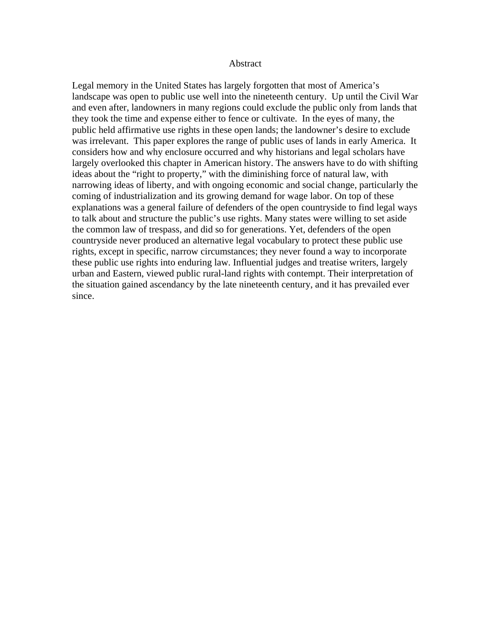#### Abstract

Legal memory in the United States has largely forgotten that most of America's landscape was open to public use well into the nineteenth century. Up until the Civil War and even after, landowners in many regions could exclude the public only from lands that they took the time and expense either to fence or cultivate. In the eyes of many, the public held affirmative use rights in these open lands; the landowner's desire to exclude was irrelevant. This paper explores the range of public uses of lands in early America. It considers how and why enclosure occurred and why historians and legal scholars have largely overlooked this chapter in American history. The answers have to do with shifting ideas about the "right to property," with the diminishing force of natural law, with narrowing ideas of liberty, and with ongoing economic and social change, particularly the coming of industrialization and its growing demand for wage labor. On top of these explanations was a general failure of defenders of the open countryside to find legal ways to talk about and structure the public's use rights. Many states were willing to set aside the common law of trespass, and did so for generations. Yet, defenders of the open countryside never produced an alternative legal vocabulary to protect these public use rights, except in specific, narrow circumstances; they never found a way to incorporate these public use rights into enduring law. Influential judges and treatise writers, largely urban and Eastern, viewed public rural-land rights with contempt. Their interpretation of the situation gained ascendancy by the late nineteenth century, and it has prevailed ever since.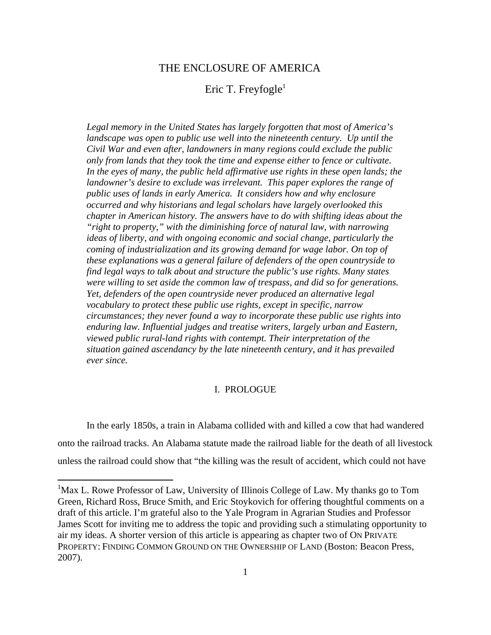# THE ENCLOSURE OF AMERICA

# Eric T. Freyfogle $<sup>1</sup>$ </sup>

*Legal memory in the United States has largely forgotten that most of America's landscape was open to public use well into the nineteenth century. Up until the Civil War and even after, landowners in many regions could exclude the public only from lands that they took the time and expense either to fence or cultivate. In the eyes of many, the public held affirmative use rights in these open lands; the landowner's desire to exclude was irrelevant. This paper explores the range of public uses of lands in early America. It considers how and why enclosure occurred and why historians and legal scholars have largely overlooked this chapter in American history. The answers have to do with shifting ideas about the "right to property," with the diminishing force of natural law, with narrowing ideas of liberty, and with ongoing economic and social change, particularly the coming of industrialization and its growing demand for wage labor. On top of these explanations was a general failure of defenders of the open countryside to find legal ways to talk about and structure the public's use rights. Many states were willing to set aside the common law of trespass, and did so for generations. Yet, defenders of the open countryside never produced an alternative legal vocabulary to protect these public use rights, except in specific, narrow circumstances; they never found a way to incorporate these public use rights into enduring law. Influential judges and treatise writers, largely urban and Eastern, viewed public rural-land rights with contempt. Their interpretation of the situation gained ascendancy by the late nineteenth century, and it has prevailed ever since.* 

#### I. PROLOGUE

 In the early 1850s, a train in Alabama collided with and killed a cow that had wandered onto the railroad tracks. An Alabama statute made the railroad liable for the death of all livestock unless the railroad could show that "the killing was the result of accident, which could not have

<sup>&</sup>lt;sup>1</sup>Max L. Rowe Professor of Law, University of Illinois College of Law. My thanks go to Tom Green, Richard Ross, Bruce Smith, and Eric Stoykovich for offering thoughtful comments on a draft of this article. I'm grateful also to the Yale Program in Agrarian Studies and Professor James Scott for inviting me to address the topic and providing such a stimulating opportunity to air my ideas. A shorter version of this article is appearing as chapter two of ON PRIVATE PROPERTY: FINDING COMMON GROUND ON THE OWNERSHIP OF LAND (Boston: Beacon Press, 2007).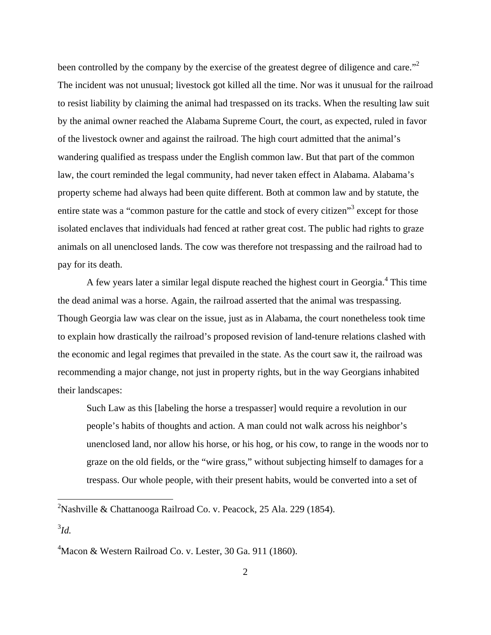been controlled by the company by the exercise of the greatest degree of diligence and care.<sup>"2</sup> The incident was not unusual; livestock got killed all the time. Nor was it unusual for the railroad to resist liability by claiming the animal had trespassed on its tracks. When the resulting law suit by the animal owner reached the Alabama Supreme Court, the court, as expected, ruled in favor of the livestock owner and against the railroad. The high court admitted that the animal's wandering qualified as trespass under the English common law. But that part of the common law, the court reminded the legal community, had never taken effect in Alabama. Alabama's property scheme had always had been quite different. Both at common law and by statute, the entire state was a "common pasture for the cattle and stock of every citizen"<sup>3</sup> except for those isolated enclaves that individuals had fenced at rather great cost. The public had rights to graze animals on all unenclosed lands. The cow was therefore not trespassing and the railroad had to pay for its death.

A few years later a similar legal dispute reached the highest court in Georgia.<sup>4</sup> This time the dead animal was a horse. Again, the railroad asserted that the animal was trespassing. Though Georgia law was clear on the issue, just as in Alabama, the court nonetheless took time to explain how drastically the railroad's proposed revision of land-tenure relations clashed with the economic and legal regimes that prevailed in the state. As the court saw it, the railroad was recommending a major change, not just in property rights, but in the way Georgians inhabited their landscapes:

Such Law as this [labeling the horse a trespasser] would require a revolution in our people's habits of thoughts and action. A man could not walk across his neighbor's unenclosed land, nor allow his horse, or his hog, or his cow, to range in the woods nor to graze on the old fields, or the "wire grass," without subjecting himself to damages for a trespass. Our whole people, with their present habits, would be converted into a set of

<sup>&</sup>lt;sup>2</sup> Nashville & Chattanooga Railroad Co. v. Peacock, 25 Ala. 229 (1854).

<sup>3</sup> *Id.*

 $4$ Macon & Western Railroad Co. v. Lester, 30 Ga. 911 (1860).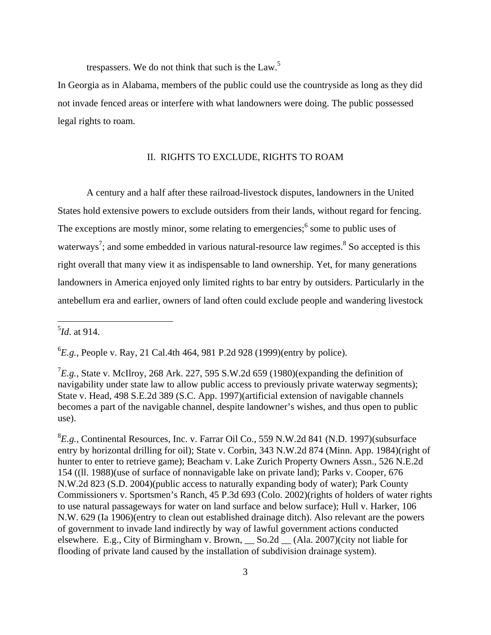trespassers. We do not think that such is the  $Law<sup>5</sup>$ .

In Georgia as in Alabama, members of the public could use the countryside as long as they did not invade fenced areas or interfere with what landowners were doing. The public possessed legal rights to roam.

### II. RIGHTS TO EXCLUDE, RIGHTS TO ROAM

 A century and a half after these railroad-livestock disputes, landowners in the United States hold extensive powers to exclude outsiders from their lands, without regard for fencing. The exceptions are mostly minor, some relating to emergencies; some to public uses of waterways<sup>7</sup>; and some embedded in various natural-resource law regimes.<sup>8</sup> So accepted is this right overall that many view it as indispensable to land ownership. Yet, for many generations landowners in America enjoyed only limited rights to bar entry by outsiders. Particularly in the antebellum era and earlier, owners of land often could exclude people and wandering livestock

1

8 *E.g.,* Continental Resources, Inc. v. Farrar Oil Co., 559 N.W.2d 841 (N.D. 1997)(subsurface entry by horizontal drilling for oil); State v. Corbin, 343 N.W.2d 874 (Minn. App. 1984)(right of hunter to enter to retrieve game); Beacham v. Lake Zurich Property Owners Assn., 526 N.E.2d 154 ((ll. 1988)(use of surface of nonnavigable lake on private land); Parks v. Cooper, 676 N.W.2d 823 (S.D. 2004)(public access to naturally expanding body of water); Park County Commissioners v. Sportsmen's Ranch, 45 P.3d 693 (Colo. 2002)(rights of holders of water rights to use natural passageways for water on land surface and below surface); Hull v. Harker, 106 N.W. 629 (Ia 1906)(entry to clean out established drainage ditch). Also relevant are the powers of government to invade land indirectly by way of lawful government actions conducted elsewhere. E.g., City of Birmingham v. Brown, \_\_ So.2d \_\_ (Ala. 2007)(city not liable for flooding of private land caused by the installation of subdivision drainage system).

<sup>5</sup> *Id*. at 914.

 ${}^{6}E$ .g., People v. Ray, 21 Cal.4th 464, 981 P.2d 928 (1999)(entry by police).

<sup>&</sup>lt;sup>7</sup>E.g., State v. McIlroy, 268 Ark. 227, 595 S.W.2d 659 (1980)(expanding the definition of navigability under state law to allow public access to previously private waterway segments); State v. Head, 498 S.E.2d 389 (S.C. App. 1997)(artificial extension of navigable channels becomes a part of the navigable channel, despite landowner's wishes, and thus open to public use).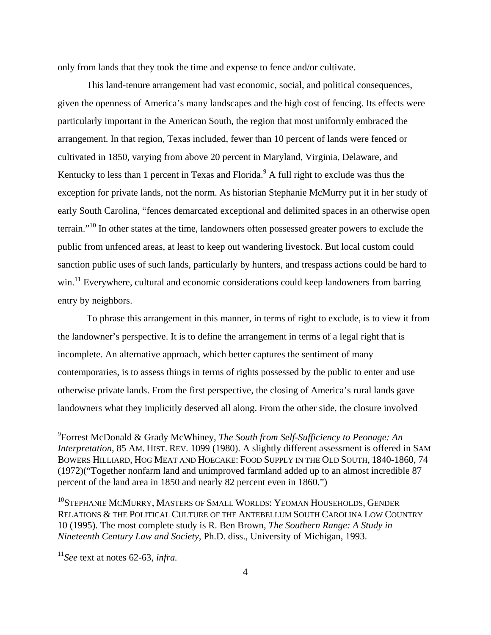only from lands that they took the time and expense to fence and/or cultivate.

 This land-tenure arrangement had vast economic, social, and political consequences, given the openness of America's many landscapes and the high cost of fencing. Its effects were particularly important in the American South, the region that most uniformly embraced the arrangement. In that region, Texas included, fewer than 10 percent of lands were fenced or cultivated in 1850, varying from above 20 percent in Maryland, Virginia, Delaware, and Kentucky to less than 1 percent in Texas and Florida. $^9$  A full right to exclude was thus the exception for private lands, not the norm. As historian Stephanie McMurry put it in her study of early South Carolina, "fences demarcated exceptional and delimited spaces in an otherwise open terrain."<sup>10</sup> In other states at the time, landowners often possessed greater powers to exclude the public from unfenced areas, at least to keep out wandering livestock. But local custom could sanction public uses of such lands, particularly by hunters, and trespass actions could be hard to win.<sup>11</sup> Everywhere, cultural and economic considerations could keep landowners from barring entry by neighbors.

 To phrase this arrangement in this manner, in terms of right to exclude, is to view it from the landowner's perspective. It is to define the arrangement in terms of a legal right that is incomplete. An alternative approach, which better captures the sentiment of many contemporaries, is to assess things in terms of rights possessed by the public to enter and use otherwise private lands. From the first perspective, the closing of America's rural lands gave landowners what they implicitly deserved all along. From the other side, the closure involved

<sup>9</sup> Forrest McDonald & Grady McWhiney, *The South from Self-Sufficiency to Peonage: An Interpretation*, 85 AM. HIST. REV. 1099 (1980). A slightly different assessment is offered in SAM BOWERS HILLIARD, HOG MEAT AND HOECAKE: FOOD SUPPLY IN THE OLD SOUTH, 1840-1860, 74 (1972)("Together nonfarm land and unimproved farmland added up to an almost incredible 87 percent of the land area in 1850 and nearly 82 percent even in 1860.")

<sup>&</sup>lt;sup>10</sup>STEPHANIE MCMURRY, MASTERS OF SMALL WORLDS: YEOMAN HOUSEHOLDS, GENDER RELATIONS & THE POLITICAL CULTURE OF THE ANTEBELLUM SOUTH CAROLINA LOW COUNTRY 10 (1995). The most complete study is R. Ben Brown, *The Southern Range: A Study in Nineteenth Century Law and Society*, Ph.D. diss., University of Michigan, 1993.

<sup>11</sup>*See* text at notes 62-63, *infra.*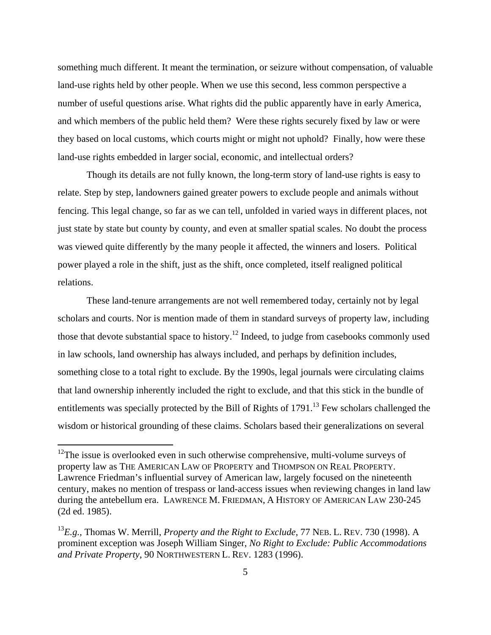something much different. It meant the termination, or seizure without compensation, of valuable land-use rights held by other people. When we use this second, less common perspective a number of useful questions arise. What rights did the public apparently have in early America, and which members of the public held them? Were these rights securely fixed by law or were they based on local customs, which courts might or might not uphold? Finally, how were these land-use rights embedded in larger social, economic, and intellectual orders?

 Though its details are not fully known, the long-term story of land-use rights is easy to relate. Step by step, landowners gained greater powers to exclude people and animals without fencing. This legal change, so far as we can tell, unfolded in varied ways in different places, not just state by state but county by county, and even at smaller spatial scales. No doubt the process was viewed quite differently by the many people it affected, the winners and losers. Political power played a role in the shift, just as the shift, once completed, itself realigned political relations.

 These land-tenure arrangements are not well remembered today, certainly not by legal scholars and courts. Nor is mention made of them in standard surveys of property law, including those that devote substantial space to history.<sup>12</sup> Indeed, to judge from casebooks commonly used in law schools, land ownership has always included, and perhaps by definition includes, something close to a total right to exclude. By the 1990s, legal journals were circulating claims that land ownership inherently included the right to exclude, and that this stick in the bundle of entitlements was specially protected by the Bill of Rights of  $1791<sup>13</sup>$  Few scholars challenged the wisdom or historical grounding of these claims. Scholars based their generalizations on several

 $12$ The issue is overlooked even in such otherwise comprehensive, multi-volume surveys of property law as THE AMERICAN LAW OF PROPERTY and THOMPSON ON REAL PROPERTY. Lawrence Friedman's influential survey of American law, largely focused on the nineteenth century, makes no mention of trespass or land-access issues when reviewing changes in land law during the antebellum era. LAWRENCE M. FRIEDMAN, A HISTORY OF AMERICAN LAW 230-245 (2d ed. 1985).

<sup>13</sup>*E.g.,* Thomas W. Merrill, *Property and the Right to Exclude*, 77 NEB. L. REV. 730 (1998). A prominent exception was Joseph William Singer, *No Right to Exclude: Public Accommodations and Private Property*, 90 NORTHWESTERN L. REV. 1283 (1996).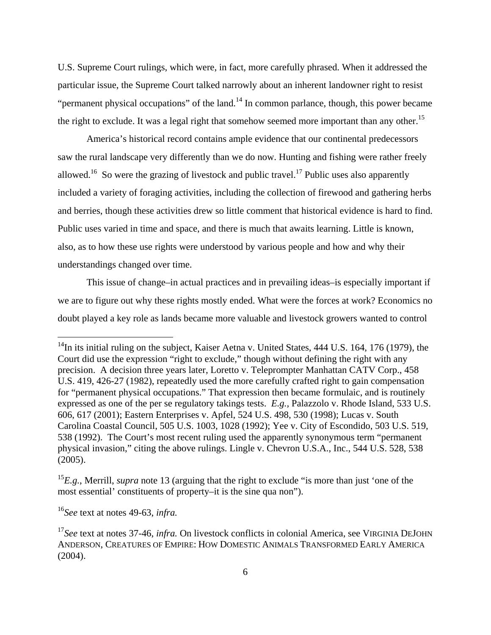U.S. Supreme Court rulings, which were, in fact, more carefully phrased. When it addressed the particular issue, the Supreme Court talked narrowly about an inherent landowner right to resist "permanent physical occupations" of the land.<sup>14</sup> In common parlance, though, this power became the right to exclude. It was a legal right that somehow seemed more important than any other.<sup>15</sup>

 America's historical record contains ample evidence that our continental predecessors saw the rural landscape very differently than we do now. Hunting and fishing were rather freely allowed.<sup>16</sup> So were the grazing of livestock and public travel.<sup>17</sup> Public uses also apparently included a variety of foraging activities, including the collection of firewood and gathering herbs and berries, though these activities drew so little comment that historical evidence is hard to find. Public uses varied in time and space, and there is much that awaits learning. Little is known, also, as to how these use rights were understood by various people and how and why their understandings changed over time.

 This issue of change–in actual practices and in prevailing ideas–is especially important if we are to figure out why these rights mostly ended. What were the forces at work? Economics no doubt played a key role as lands became more valuable and livestock growers wanted to control

<sup>15</sup>*E.g.*, Merrill, *supra* note 13 (arguing that the right to exclude "is more than just 'one of the most essential' constituents of property–it is the sine qua non").

<sup>16</sup>*See* text at notes 49-63, *infra.*

 $14$ In its initial ruling on the subject, Kaiser Aetna v. United States, 444 U.S. 164, 176 (1979), the Court did use the expression "right to exclude," though without defining the right with any precision. A decision three years later, Loretto v. Teleprompter Manhattan CATV Corp., 458 U.S. 419, 426-27 (1982), repeatedly used the more carefully crafted right to gain compensation for "permanent physical occupations." That expression then became formulaic, and is routinely expressed as one of the per se regulatory takings tests. *E.g.,* Palazzolo v. Rhode Island, 533 U.S. 606, 617 (2001); Eastern Enterprises v. Apfel, 524 U.S. 498, 530 (1998); Lucas v. South Carolina Coastal Council, 505 U.S. 1003, 1028 (1992); Yee v. City of Escondido, 503 U.S. 519, 538 (1992). The Court's most recent ruling used the apparently synonymous term "permanent physical invasion," citing the above rulings. Lingle v. Chevron U.S.A., Inc., 544 U.S. 528, 538 (2005).

<sup>&</sup>lt;sup>17</sup>See text at notes 37-46, *infra*. On livestock conflicts in colonial America, see VIRGINIA DEJOHN ANDERSON, CREATURES OF EMPIRE: HOW DOMESTIC ANIMALS TRANSFORMED EARLY AMERICA (2004).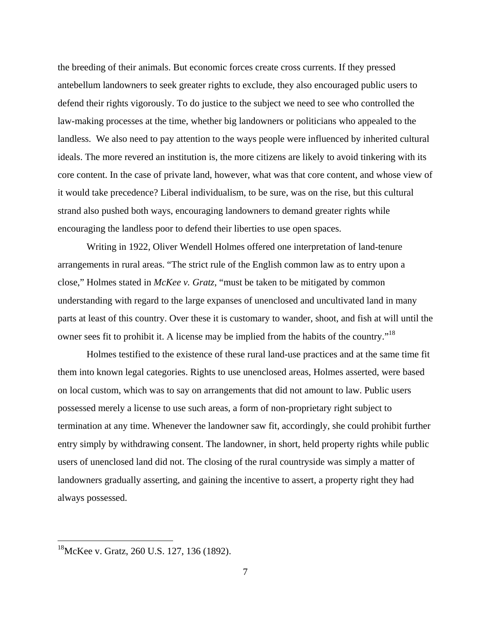the breeding of their animals. But economic forces create cross currents. If they pressed antebellum landowners to seek greater rights to exclude, they also encouraged public users to defend their rights vigorously. To do justice to the subject we need to see who controlled the law-making processes at the time, whether big landowners or politicians who appealed to the landless. We also need to pay attention to the ways people were influenced by inherited cultural ideals. The more revered an institution is, the more citizens are likely to avoid tinkering with its core content. In the case of private land, however, what was that core content, and whose view of it would take precedence? Liberal individualism, to be sure, was on the rise, but this cultural strand also pushed both ways, encouraging landowners to demand greater rights while encouraging the landless poor to defend their liberties to use open spaces.

 Writing in 1922, Oliver Wendell Holmes offered one interpretation of land-tenure arrangements in rural areas. "The strict rule of the English common law as to entry upon a close," Holmes stated in *McKee v. Gratz*, "must be taken to be mitigated by common understanding with regard to the large expanses of unenclosed and uncultivated land in many parts at least of this country. Over these it is customary to wander, shoot, and fish at will until the owner sees fit to prohibit it. A license may be implied from the habits of the country."<sup>18</sup>

 Holmes testified to the existence of these rural land-use practices and at the same time fit them into known legal categories. Rights to use unenclosed areas, Holmes asserted, were based on local custom, which was to say on arrangements that did not amount to law. Public users possessed merely a license to use such areas, a form of non-proprietary right subject to termination at any time. Whenever the landowner saw fit, accordingly, she could prohibit further entry simply by withdrawing consent. The landowner, in short, held property rights while public users of unenclosed land did not. The closing of the rural countryside was simply a matter of landowners gradually asserting, and gaining the incentive to assert, a property right they had always possessed.

1

<sup>18</sup>McKee v. Gratz, 260 U.S. 127, 136 (1892).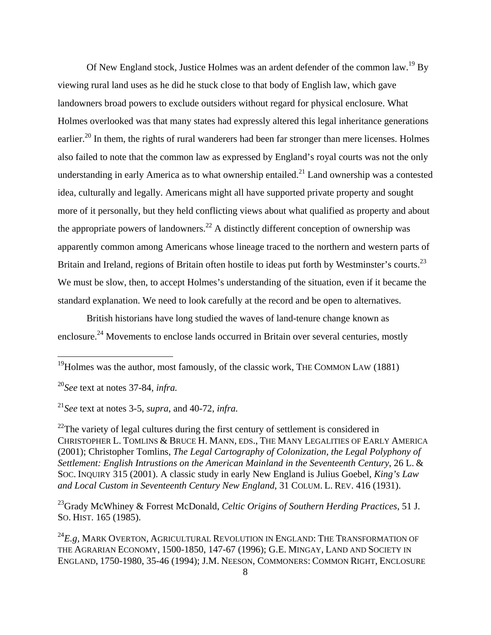Of New England stock, Justice Holmes was an ardent defender of the common law.<sup>19</sup> By viewing rural land uses as he did he stuck close to that body of English law, which gave landowners broad powers to exclude outsiders without regard for physical enclosure. What Holmes overlooked was that many states had expressly altered this legal inheritance generations earlier.<sup>20</sup> In them, the rights of rural wanderers had been far stronger than mere licenses. Holmes also failed to note that the common law as expressed by England's royal courts was not the only understanding in early America as to what ownership entailed.<sup>21</sup> Land ownership was a contested idea, culturally and legally. Americans might all have supported private property and sought more of it personally, but they held conflicting views about what qualified as property and about the appropriate powers of landowners.<sup>22</sup> A distinctly different conception of ownership was apparently common among Americans whose lineage traced to the northern and western parts of Britain and Ireland, regions of Britain often hostile to ideas put forth by Westminster's courts.<sup>23</sup> We must be slow, then, to accept Holmes's understanding of the situation, even if it became the standard explanation. We need to look carefully at the record and be open to alternatives.

 British historians have long studied the waves of land-tenure change known as enclosure.<sup>24</sup> Movements to enclose lands occurred in Britain over several centuries, mostly

 $\overline{a}$ 

<sup>21</sup>*See* text at notes 3-5, *supra*, and 40-72, *infra.*

 $^{22}$ The variety of legal cultures during the first century of settlement is considered in CHRISTOPHER L. TOMLINS & BRUCE H. MANN, EDS., THE MANY LEGALITIES OF EARLY AMERICA (2001); Christopher Tomlins, *The Legal Cartography of Colonization, the Legal Polyphony of Settlement: English Intrustions on the American Mainland in the Seventeenth Century*, 26 L. & SOC. INQUIRY 315 (2001). A classic study in early New England is Julius Goebel, *King's Law and Local Custom in Seventeenth Century New England*, 31 COLUM. L. REV. 416 (1931).

23Grady McWhiney & Forrest McDonald, *Celtic Origins of Southern Herding Practices*, 51 J. SO. HIST. 165 (1985).

<sup>24</sup>*E.g,* MARK OVERTON, AGRICULTURAL REVOLUTION IN ENGLAND: THE TRANSFORMATION OF THE AGRARIAN ECONOMY, 1500-1850, 147-67 (1996); G.E. MINGAY, LAND AND SOCIETY IN ENGLAND, 1750-1980, 35-46 (1994); J.M. NEESON, COMMONERS: COMMON RIGHT, ENCLOSURE

 $19$ Holmes was the author, most famously, of the classic work, THE COMMON LAW (1881)

<sup>20</sup>*See* text at notes 37-84, *infra.*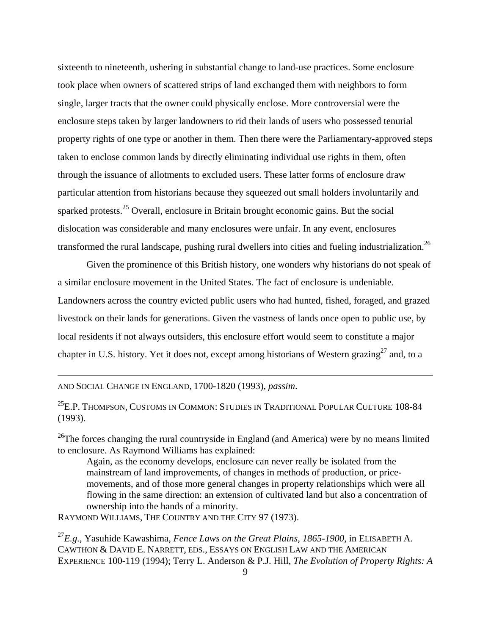sixteenth to nineteenth, ushering in substantial change to land-use practices. Some enclosure took place when owners of scattered strips of land exchanged them with neighbors to form single, larger tracts that the owner could physically enclose. More controversial were the enclosure steps taken by larger landowners to rid their lands of users who possessed tenurial property rights of one type or another in them. Then there were the Parliamentary-approved steps taken to enclose common lands by directly eliminating individual use rights in them, often through the issuance of allotments to excluded users. These latter forms of enclosure draw particular attention from historians because they squeezed out small holders involuntarily and sparked protests.<sup>25</sup> Overall, enclosure in Britain brought economic gains. But the social dislocation was considerable and many enclosures were unfair. In any event, enclosures transformed the rural landscape, pushing rural dwellers into cities and fueling industrialization.<sup>26</sup>

 Given the prominence of this British history, one wonders why historians do not speak of a similar enclosure movement in the United States. The fact of enclosure is undeniable. Landowners across the country evicted public users who had hunted, fished, foraged, and grazed livestock on their lands for generations. Given the vastness of lands once open to public use, by local residents if not always outsiders, this enclosure effort would seem to constitute a major chapter in U.S. history. Yet it does not, except among historians of Western grazing<sup>27</sup> and, to a

AND SOCIAL CHANGE IN ENGLAND, 1700-1820 (1993), *passim*.

 $\overline{a}$ 

 $^{25}$ E.P. Thompson, Customs in Common: Studies in Traditional Popular Culture 108-84 (1993).

 $26$ The forces changing the rural countryside in England (and America) were by no means limited to enclosure. As Raymond Williams has explained:

Again, as the economy develops, enclosure can never really be isolated from the mainstream of land improvements, of changes in methods of production, or pricemovements, and of those more general changes in property relationships which were all flowing in the same direction: an extension of cultivated land but also a concentration of ownership into the hands of a minority.

RAYMOND WILLIAMS, THE COUNTRY AND THE CITY 97 (1973).

<sup>27</sup>*E.g.*, Yasuhide Kawashima, *Fence Laws on the Great Plains, 1865-1900*, in ELISABETH A. CAWTHON & DAVID E. NARRETT, EDS., ESSAYS ON ENGLISH LAW AND THE AMERICAN EXPERIENCE 100-119 (1994); Terry L. Anderson & P.J. Hill, *The Evolution of Property Rights: A*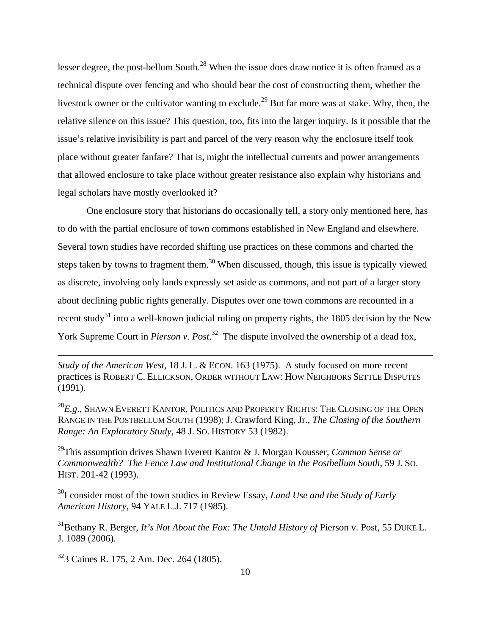lesser degree, the post-bellum South.<sup>28</sup> When the issue does draw notice it is often framed as a technical dispute over fencing and who should bear the cost of constructing them, whether the livestock owner or the cultivator wanting to exclude.<sup>29</sup> But far more was at stake. Why, then, the relative silence on this issue? This question, too, fits into the larger inquiry. Is it possible that the issue's relative invisibility is part and parcel of the very reason why the enclosure itself took place without greater fanfare? That is, might the intellectual currents and power arrangements that allowed enclosure to take place without greater resistance also explain why historians and legal scholars have mostly overlooked it?

 One enclosure story that historians do occasionally tell, a story only mentioned here, has to do with the partial enclosure of town commons established in New England and elsewhere. Several town studies have recorded shifting use practices on these commons and charted the steps taken by towns to fragment them.<sup>30</sup> When discussed, though, this issue is typically viewed as discrete, involving only lands expressly set aside as commons, and not part of a larger story about declining public rights generally. Disputes over one town commons are recounted in a recent study<sup>31</sup> into a well-known judicial ruling on property rights, the 1805 decision by the New York Supreme Court in *Pierson v. Post*.<sup>32</sup> The dispute involved the ownership of a dead fox,

*Study of the American West*, 18 J. L. & ECON. 163 (1975). A study focused on more recent practices is ROBERT C. ELLICKSON, ORDER WITHOUT LAW: HOW NEIGHBORS SETTLE DISPUTES (1991).

<sup>28</sup>E.g., SHAWN EVERETT KANTOR, POLITICS AND PROPERTY RIGHTS: THE CLOSING OF THE OPEN RANGE IN THE POSTBELLUM SOUTH (1998); J. Crawford King, Jr., *The Closing of the Southern Range: An Exploratory Study*, 48 J. SO. HISTORY 53 (1982).

29This assumption drives Shawn Everett Kantor & J. Morgan Kousser, *Common Sense or Commonwealth? The Fence Law and Institutional Change in the Postbellum South*, 59 J. SO. HIST. 201-42 (1993).

30I consider most of the town studies in Review Essay, *Land Use and the Study of Early American History*, 94 YALE L.J. 717 (1985).

31Bethany R. Berger, *It's Not About the Fox: The Untold History of* Pierson v. Post, 55 DUKE L. J. 1089 (2006).

323 Caines R. 175, 2 Am. Dec. 264 (1805).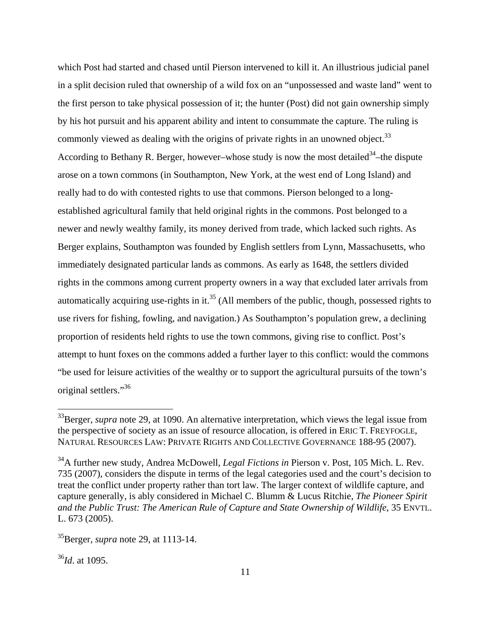which Post had started and chased until Pierson intervened to kill it. An illustrious judicial panel in a split decision ruled that ownership of a wild fox on an "unpossessed and waste land" went to the first person to take physical possession of it; the hunter (Post) did not gain ownership simply by his hot pursuit and his apparent ability and intent to consummate the capture. The ruling is commonly viewed as dealing with the origins of private rights in an unowned object.<sup>33</sup> According to Bethany R. Berger, however–whose study is now the most detailed<sup>34</sup>–the dispute arose on a town commons (in Southampton, New York, at the west end of Long Island) and really had to do with contested rights to use that commons. Pierson belonged to a longestablished agricultural family that held original rights in the commons. Post belonged to a newer and newly wealthy family, its money derived from trade, which lacked such rights. As Berger explains, Southampton was founded by English settlers from Lynn, Massachusetts, who immediately designated particular lands as commons. As early as 1648, the settlers divided rights in the commons among current property owners in a way that excluded later arrivals from automatically acquiring use-rights in it.<sup>35</sup> (All members of the public, though, possessed rights to use rivers for fishing, fowling, and navigation.) As Southampton's population grew, a declining proportion of residents held rights to use the town commons, giving rise to conflict. Post's attempt to hunt foxes on the commons added a further layer to this conflict: would the commons "be used for leisure activities of the wealthy or to support the agricultural pursuits of the town's original settlers."<sup>36</sup>

<sup>36</sup>*Id*. at 1095.

<u>.</u>

<sup>&</sup>lt;sup>33</sup>Berger, *supra* note 29, at 1090. An alternative interpretation, which views the legal issue from the perspective of society as an issue of resource allocation, is offered in ERIC T. FREYFOGLE, NATURAL RESOURCES LAW: PRIVATE RIGHTS AND COLLECTIVE GOVERNANCE 188-95 (2007).

<sup>34</sup>A further new study, Andrea McDowell, *Legal Fictions in* Pierson v. Post, 105 Mich. L. Rev. 735 (2007), considers the dispute in terms of the legal categories used and the court's decision to treat the conflict under property rather than tort law. The larger context of wildlife capture, and capture generally, is ably considered in Michael C. Blumm & Lucus Ritchie, *The Pioneer Spirit and the Public Trust: The American Rule of Capture and State Ownership of Wildlife*, 35 ENVTL. L. 673 (2005).

<sup>35</sup>Berger, *supra* note 29, at 1113-14.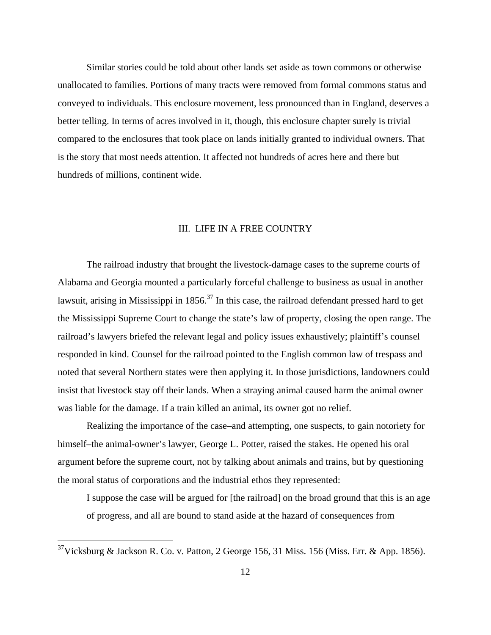Similar stories could be told about other lands set aside as town commons or otherwise unallocated to families. Portions of many tracts were removed from formal commons status and conveyed to individuals. This enclosure movement, less pronounced than in England, deserves a better telling. In terms of acres involved in it, though, this enclosure chapter surely is trivial compared to the enclosures that took place on lands initially granted to individual owners. That is the story that most needs attention. It affected not hundreds of acres here and there but hundreds of millions, continent wide.

### III. LIFE IN A FREE COUNTRY

 The railroad industry that brought the livestock-damage cases to the supreme courts of Alabama and Georgia mounted a particularly forceful challenge to business as usual in another lawsuit, arising in Mississippi in  $1856$ <sup>37</sup>. In this case, the railroad defendant pressed hard to get the Mississippi Supreme Court to change the state's law of property, closing the open range. The railroad's lawyers briefed the relevant legal and policy issues exhaustively; plaintiff's counsel responded in kind. Counsel for the railroad pointed to the English common law of trespass and noted that several Northern states were then applying it. In those jurisdictions, landowners could insist that livestock stay off their lands. When a straying animal caused harm the animal owner was liable for the damage. If a train killed an animal, its owner got no relief.

 Realizing the importance of the case–and attempting, one suspects, to gain notoriety for himself–the animal-owner's lawyer, George L. Potter, raised the stakes. He opened his oral argument before the supreme court, not by talking about animals and trains, but by questioning the moral status of corporations and the industrial ethos they represented:

I suppose the case will be argued for [the railroad] on the broad ground that this is an age of progress, and all are bound to stand aside at the hazard of consequences from

 $37$ Vicksburg & Jackson R. Co. v. Patton, 2 George 156, 31 Miss. 156 (Miss. Err. & App. 1856).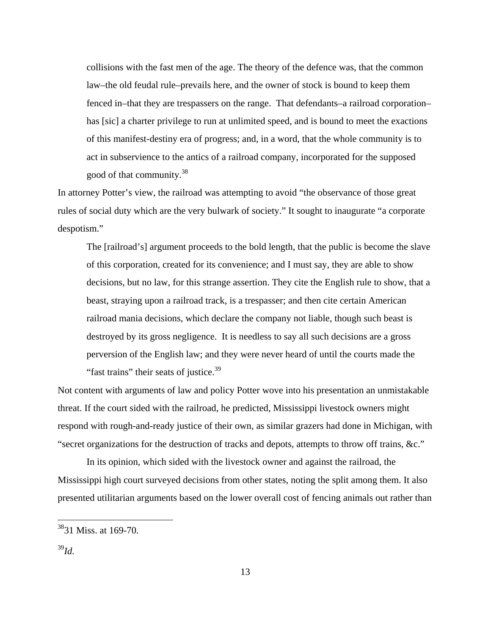collisions with the fast men of the age. The theory of the defence was, that the common law–the old feudal rule–prevails here, and the owner of stock is bound to keep them fenced in–that they are trespassers on the range. That defendants–a railroad corporation– has [sic] a charter privilege to run at unlimited speed, and is bound to meet the exactions of this manifest-destiny era of progress; and, in a word, that the whole community is to act in subservience to the antics of a railroad company, incorporated for the supposed good of that community.<sup>38</sup>

In attorney Potter's view, the railroad was attempting to avoid "the observance of those great rules of social duty which are the very bulwark of society." It sought to inaugurate "a corporate despotism."

The [railroad's] argument proceeds to the bold length, that the public is become the slave of this corporation, created for its convenience; and I must say, they are able to show decisions, but no law, for this strange assertion. They cite the English rule to show, that a beast, straying upon a railroad track, is a trespasser; and then cite certain American railroad mania decisions, which declare the company not liable, though such beast is destroyed by its gross negligence. It is needless to say all such decisions are a gross perversion of the English law; and they were never heard of until the courts made the "fast trains" their seats of justice. $39$ 

Not content with arguments of law and policy Potter wove into his presentation an unmistakable threat. If the court sided with the railroad, he predicted, Mississippi livestock owners might respond with rough-and-ready justice of their own, as similar grazers had done in Michigan, with "secret organizations for the destruction of tracks and depots, attempts to throw off trains, &c."

 In its opinion, which sided with the livestock owner and against the railroad, the Mississippi high court surveyed decisions from other states, noting the split among them. It also presented utilitarian arguments based on the lower overall cost of fencing animals out rather than

<sup>3831</sup> Miss. at 169-70.

<sup>39</sup>*Id.*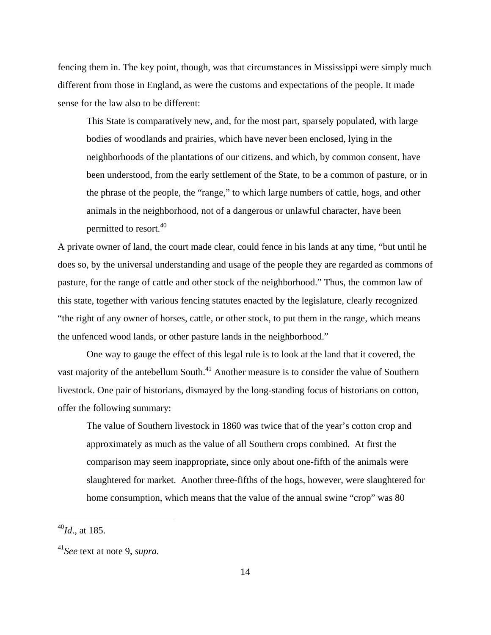fencing them in. The key point, though, was that circumstances in Mississippi were simply much different from those in England, as were the customs and expectations of the people. It made sense for the law also to be different:

This State is comparatively new, and, for the most part, sparsely populated, with large bodies of woodlands and prairies, which have never been enclosed, lying in the neighborhoods of the plantations of our citizens, and which, by common consent, have been understood, from the early settlement of the State, to be a common of pasture, or in the phrase of the people, the "range," to which large numbers of cattle, hogs, and other animals in the neighborhood, not of a dangerous or unlawful character, have been permitted to resort.<sup>40</sup>

A private owner of land, the court made clear, could fence in his lands at any time, "but until he does so, by the universal understanding and usage of the people they are regarded as commons of pasture, for the range of cattle and other stock of the neighborhood." Thus, the common law of this state, together with various fencing statutes enacted by the legislature, clearly recognized "the right of any owner of horses, cattle, or other stock, to put them in the range, which means the unfenced wood lands, or other pasture lands in the neighborhood."

 One way to gauge the effect of this legal rule is to look at the land that it covered, the vast majority of the antebellum South.<sup>41</sup> Another measure is to consider the value of Southern livestock. One pair of historians, dismayed by the long-standing focus of historians on cotton, offer the following summary:

The value of Southern livestock in 1860 was twice that of the year's cotton crop and approximately as much as the value of all Southern crops combined. At first the comparison may seem inappropriate, since only about one-fifth of the animals were slaughtered for market. Another three-fifths of the hogs, however, were slaughtered for home consumption, which means that the value of the annual swine "crop" was 80

<sup>40</sup>*Id*., at 185.

<sup>41</sup>*See* text at note 9, *supra.*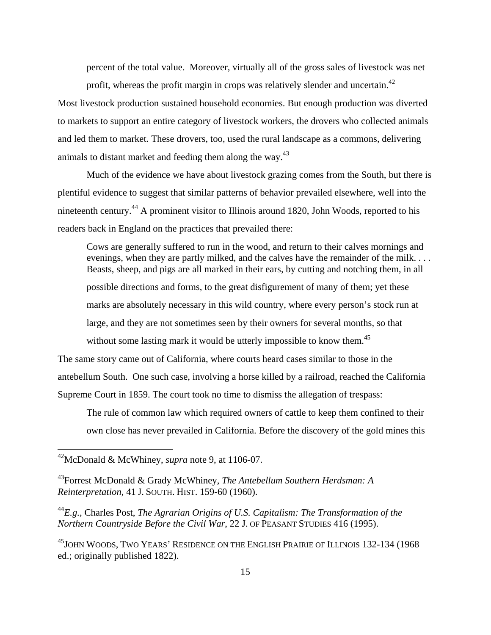percent of the total value. Moreover, virtually all of the gross sales of livestock was net profit, whereas the profit margin in crops was relatively slender and uncertain.<sup>42</sup>

Most livestock production sustained household economies. But enough production was diverted to markets to support an entire category of livestock workers, the drovers who collected animals and led them to market. These drovers, too, used the rural landscape as a commons, delivering animals to distant market and feeding them along the way.43

 Much of the evidence we have about livestock grazing comes from the South, but there is plentiful evidence to suggest that similar patterns of behavior prevailed elsewhere, well into the nineteenth century.44 A prominent visitor to Illinois around 1820, John Woods, reported to his readers back in England on the practices that prevailed there:

Cows are generally suffered to run in the wood, and return to their calves mornings and evenings, when they are partly milked, and the calves have the remainder of the milk. . . . Beasts, sheep, and pigs are all marked in their ears, by cutting and notching them, in all possible directions and forms, to the great disfigurement of many of them; yet these marks are absolutely necessary in this wild country, where every person's stock run at large, and they are not sometimes seen by their owners for several months, so that without some lasting mark it would be utterly impossible to know them.<sup>45</sup>

The same story came out of California, where courts heard cases similar to those in the antebellum South. One such case, involving a horse killed by a railroad, reached the California Supreme Court in 1859. The court took no time to dismiss the allegation of trespass:

The rule of common law which required owners of cattle to keep them confined to their own close has never prevailed in California. Before the discovery of the gold mines this

<sup>42</sup>McDonald & McWhiney, *supra* note 9, at 1106-07.

<sup>43</sup>Forrest McDonald & Grady McWhiney, *The Antebellum Southern Herdsman: A Reinterpretation,* 41 J. SOUTH. HIST. 159-60 (1960).

<sup>44</sup>*E.g.,* Charles Post, *The Agrarian Origins of U.S. Capitalism: The Transformation of the Northern Countryside Before the Civil War*, 22 J. OF PEASANT STUDIES 416 (1995).

<sup>&</sup>lt;sup>45</sup>JOHN WOODS, TWO YEARS' RESIDENCE ON THE ENGLISH PRAIRIE OF ILLINOIS 132-134 (1968) ed.; originally published 1822).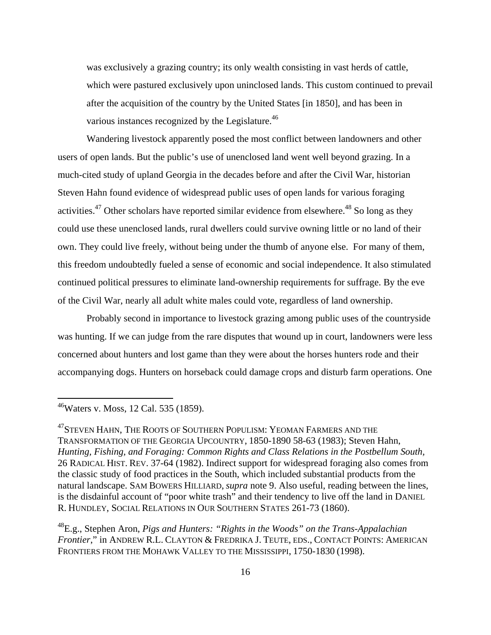was exclusively a grazing country; its only wealth consisting in vast herds of cattle, which were pastured exclusively upon uninclosed lands. This custom continued to prevail after the acquisition of the country by the United States [in 1850], and has been in various instances recognized by the Legislature.<sup>46</sup>

 Wandering livestock apparently posed the most conflict between landowners and other users of open lands. But the public's use of unenclosed land went well beyond grazing. In a much-cited study of upland Georgia in the decades before and after the Civil War, historian Steven Hahn found evidence of widespread public uses of open lands for various foraging activities.<sup>47</sup> Other scholars have reported similar evidence from elsewhere.<sup>48</sup> So long as they could use these unenclosed lands, rural dwellers could survive owning little or no land of their own. They could live freely, without being under the thumb of anyone else. For many of them, this freedom undoubtedly fueled a sense of economic and social independence. It also stimulated continued political pressures to eliminate land-ownership requirements for suffrage. By the eve of the Civil War, nearly all adult white males could vote, regardless of land ownership.

 Probably second in importance to livestock grazing among public uses of the countryside was hunting. If we can judge from the rare disputes that wound up in court, landowners were less concerned about hunters and lost game than they were about the horses hunters rode and their accompanying dogs. Hunters on horseback could damage crops and disturb farm operations. One

46Waters v. Moss, 12 Cal. 535 (1859).

1

48E.g., Stephen Aron, *Pigs and Hunters: "Rights in the Woods" on the Trans-Appalachian Frontier*," in ANDREW R.L. CLAYTON & FREDRIKA J. TEUTE, EDS., CONTACT POINTS: AMERICAN FRONTIERS FROM THE MOHAWK VALLEY TO THE MISSISSIPPI, 1750-1830 (1998).

 $^{47}\rm{S}$  TEVEN HAHN, THE ROOTS OF SOUTHERN POPULISM: YEOMAN FARMERS AND THE TRANSFORMATION OF THE GEORGIA UPCOUNTRY, 1850-1890 58-63 (1983); Steven Hahn, *Hunting, Fishing, and Foraging: Common Rights and Class Relations in the Postbellum South,* 26 RADICAL HIST. REV. 37-64 (1982). Indirect support for widespread foraging also comes from the classic study of food practices in the South, which included substantial products from the natural landscape. SAM BOWERS HILLIARD, *supra* note 9. Also useful, reading between the lines, is the disdainful account of "poor white trash" and their tendency to live off the land in DANIEL R. HUNDLEY, SOCIAL RELATIONS IN OUR SOUTHERN STATES 261-73 (1860).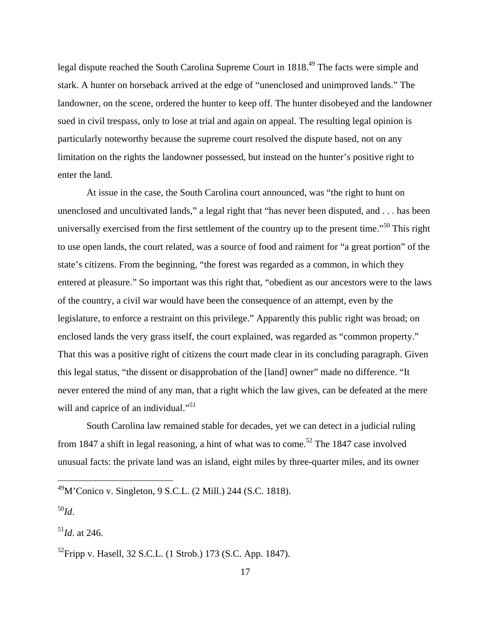legal dispute reached the South Carolina Supreme Court in 1818.<sup>49</sup> The facts were simple and stark. A hunter on horseback arrived at the edge of "unenclosed and unimproved lands." The landowner, on the scene, ordered the hunter to keep off. The hunter disobeyed and the landowner sued in civil trespass, only to lose at trial and again on appeal. The resulting legal opinion is particularly noteworthy because the supreme court resolved the dispute based, not on any limitation on the rights the landowner possessed, but instead on the hunter's positive right to enter the land.

 At issue in the case, the South Carolina court announced, was "the right to hunt on unenclosed and uncultivated lands," a legal right that "has never been disputed, and . . . has been universally exercised from the first settlement of the country up to the present time."<sup>50</sup> This right to use open lands, the court related, was a source of food and raiment for "a great portion" of the state's citizens. From the beginning, "the forest was regarded as a common, in which they entered at pleasure." So important was this right that, "obedient as our ancestors were to the laws of the country, a civil war would have been the consequence of an attempt, even by the legislature, to enforce a restraint on this privilege." Apparently this public right was broad; on enclosed lands the very grass itself, the court explained, was regarded as "common property." That this was a positive right of citizens the court made clear in its concluding paragraph. Given this legal status, "the dissent or disapprobation of the [land] owner" made no difference. "It never entered the mind of any man, that a right which the law gives, can be defeated at the mere will and caprice of an individual."<sup>51</sup>

 South Carolina law remained stable for decades, yet we can detect in a judicial ruling from 1847 a shift in legal reasoning, a hint of what was to come.<sup>52</sup> The 1847 case involved unusual facts: the private land was an island, eight miles by three-quarter miles, and its owner

<sup>50</sup>*Id*.

 $\overline{a}$ 

<sup>51</sup>*Id*. at 246.

 $^{49}$ M'Conico v. Singleton, 9 S.C.L. (2 Mill.) 244 (S.C. 1818).

 ${}^{52}$ Fripp v. Hasell, 32 S.C.L. (1 Strob.) 173 (S.C. App. 1847).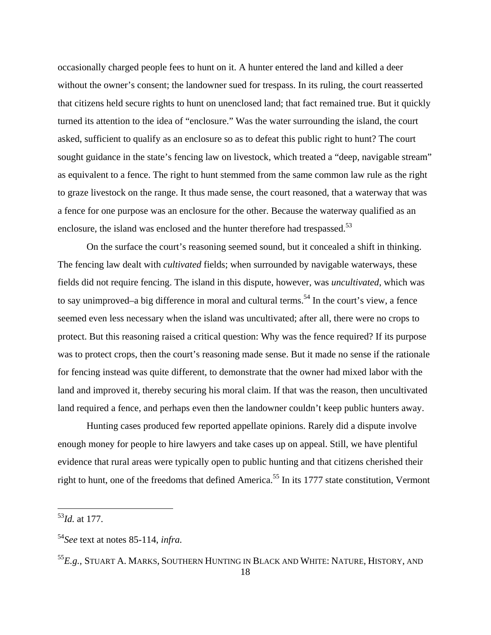occasionally charged people fees to hunt on it. A hunter entered the land and killed a deer without the owner's consent; the landowner sued for trespass. In its ruling, the court reasserted that citizens held secure rights to hunt on unenclosed land; that fact remained true. But it quickly turned its attention to the idea of "enclosure." Was the water surrounding the island, the court asked, sufficient to qualify as an enclosure so as to defeat this public right to hunt? The court sought guidance in the state's fencing law on livestock, which treated a "deep, navigable stream" as equivalent to a fence. The right to hunt stemmed from the same common law rule as the right to graze livestock on the range. It thus made sense, the court reasoned, that a waterway that was a fence for one purpose was an enclosure for the other. Because the waterway qualified as an enclosure, the island was enclosed and the hunter therefore had trespassed.<sup>53</sup>

 On the surface the court's reasoning seemed sound, but it concealed a shift in thinking. The fencing law dealt with *cultivated* fields; when surrounded by navigable waterways, these fields did not require fencing. The island in this dispute, however, was *uncultivated*, which was to say unimproved–a big difference in moral and cultural terms.<sup>54</sup> In the court's view, a fence seemed even less necessary when the island was uncultivated; after all, there were no crops to protect. But this reasoning raised a critical question: Why was the fence required? If its purpose was to protect crops, then the court's reasoning made sense. But it made no sense if the rationale for fencing instead was quite different, to demonstrate that the owner had mixed labor with the land and improved it, thereby securing his moral claim. If that was the reason, then uncultivated land required a fence, and perhaps even then the landowner couldn't keep public hunters away.

 Hunting cases produced few reported appellate opinions. Rarely did a dispute involve enough money for people to hire lawyers and take cases up on appeal. Still, we have plentiful evidence that rural areas were typically open to public hunting and that citizens cherished their right to hunt, one of the freedoms that defined America.<sup>55</sup> In its 1777 state constitution, Vermont

<sup>53</sup>*Id.* at 177.

<sup>54</sup>*See* text at notes 85-114, *infra.*

<sup>55</sup>*E.g.,* STUART A. MARKS, SOUTHERN HUNTING IN BLACK AND WHITE: NATURE, HISTORY, AND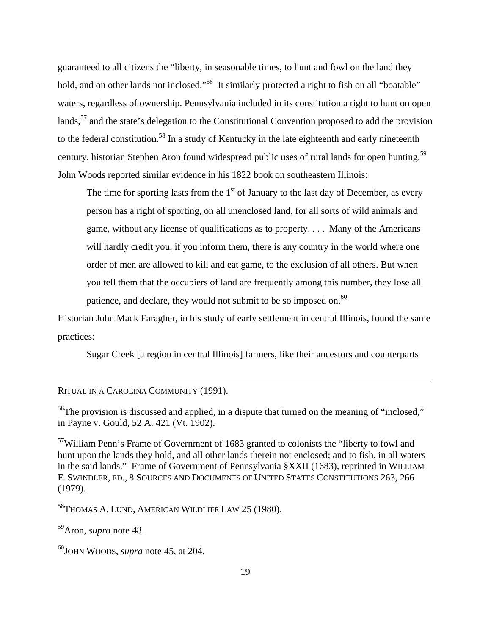guaranteed to all citizens the "liberty, in seasonable times, to hunt and fowl on the land they hold, and on other lands not inclosed."<sup>56</sup> It similarly protected a right to fish on all "boatable" waters, regardless of ownership. Pennsylvania included in its constitution a right to hunt on open lands,<sup>57</sup> and the state's delegation to the Constitutional Convention proposed to add the provision to the federal constitution.<sup>58</sup> In a study of Kentucky in the late eighteenth and early nineteenth century, historian Stephen Aron found widespread public uses of rural lands for open hunting.<sup>59</sup> John Woods reported similar evidence in his 1822 book on southeastern Illinois:

The time for sporting lasts from the  $1<sup>st</sup>$  of January to the last day of December, as every person has a right of sporting, on all unenclosed land, for all sorts of wild animals and game, without any license of qualifications as to property. . . . Many of the Americans will hardly credit you, if you inform them, there is any country in the world where one order of men are allowed to kill and eat game, to the exclusion of all others. But when you tell them that the occupiers of land are frequently among this number, they lose all patience, and declare, they would not submit to be so imposed on.<sup>60</sup>

Historian John Mack Faragher, in his study of early settlement in central Illinois, found the same practices:

Sugar Creek [a region in central Illinois] farmers, like their ancestors and counterparts

RITUAL IN A CAROLINA COMMUNITY (1991).

<sup>56</sup>The provision is discussed and applied, in a dispute that turned on the meaning of "inclosed," in Payne v. Gould, 52 A. 421 (Vt. 1902).

 $57$ William Penn's Frame of Government of 1683 granted to colonists the "liberty to fowl and hunt upon the lands they hold, and all other lands therein not enclosed; and to fish, in all waters in the said lands." Frame of Government of Pennsylvania §XXII (1683), reprinted in WILLIAM F. SWINDLER, ED., 8 SOURCES AND DOCUMENTS OF UNITED STATES CONSTITUTIONS 263, 266 (1979).

58THOMAS A. LUND, AMERICAN WILDLIFE LAW 25 (1980).

59Aron, *supra* note 48.

 $\overline{a}$ 

60JOHN WOODS, *supra* note 45, at 204.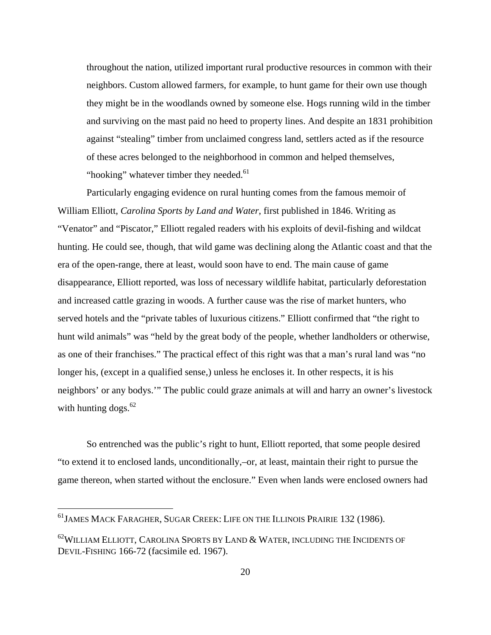throughout the nation, utilized important rural productive resources in common with their neighbors. Custom allowed farmers, for example, to hunt game for their own use though they might be in the woodlands owned by someone else. Hogs running wild in the timber and surviving on the mast paid no heed to property lines. And despite an 1831 prohibition against "stealing" timber from unclaimed congress land, settlers acted as if the resource of these acres belonged to the neighborhood in common and helped themselves, "hooking" whatever timber they needed. $61$ 

 Particularly engaging evidence on rural hunting comes from the famous memoir of William Elliott, *Carolina Sports by Land and Water*, first published in 1846. Writing as "Venator" and "Piscator," Elliott regaled readers with his exploits of devil-fishing and wildcat hunting. He could see, though, that wild game was declining along the Atlantic coast and that the era of the open-range, there at least, would soon have to end. The main cause of game disappearance, Elliott reported, was loss of necessary wildlife habitat, particularly deforestation and increased cattle grazing in woods. A further cause was the rise of market hunters, who served hotels and the "private tables of luxurious citizens." Elliott confirmed that "the right to hunt wild animals" was "held by the great body of the people, whether landholders or otherwise, as one of their franchises." The practical effect of this right was that a man's rural land was "no longer his, (except in a qualified sense,) unless he encloses it. In other respects, it is his neighbors' or any bodys.'" The public could graze animals at will and harry an owner's livestock with hunting dogs.  $62$ 

 So entrenched was the public's right to hunt, Elliott reported, that some people desired "to extend it to enclosed lands, unconditionally,–or, at least, maintain their right to pursue the game thereon, when started without the enclosure." Even when lands were enclosed owners had

 $^{61}$ James Mack Faragher, Sugar Creek: Life on the Illinois Prairie 132 (1986).

<sup>62</sup>WILLIAM ELLIOTT, CAROLINA SPORTS BY LAND & WATER, INCLUDING THE INCIDENTS OF DEVIL-FISHING 166-72 (facsimile ed. 1967).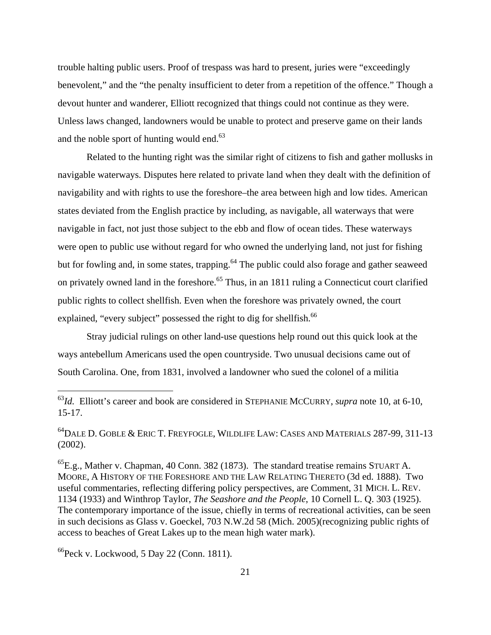trouble halting public users. Proof of trespass was hard to present, juries were "exceedingly benevolent," and the "the penalty insufficient to deter from a repetition of the offence." Though a devout hunter and wanderer, Elliott recognized that things could not continue as they were. Unless laws changed, landowners would be unable to protect and preserve game on their lands and the noble sport of hunting would end. $63$ 

 Related to the hunting right was the similar right of citizens to fish and gather mollusks in navigable waterways. Disputes here related to private land when they dealt with the definition of navigability and with rights to use the foreshore–the area between high and low tides. American states deviated from the English practice by including, as navigable, all waterways that were navigable in fact, not just those subject to the ebb and flow of ocean tides. These waterways were open to public use without regard for who owned the underlying land, not just for fishing but for fowling and, in some states, trapping.<sup>64</sup> The public could also forage and gather seaweed on privately owned land in the foreshore.<sup>65</sup> Thus, in an 1811 ruling a Connecticut court clarified public rights to collect shellfish. Even when the foreshore was privately owned, the court explained, "every subject" possessed the right to dig for shellfish.<sup>66</sup>

 Stray judicial rulings on other land-use questions help round out this quick look at the ways antebellum Americans used the open countryside. Two unusual decisions came out of South Carolina. One, from 1831, involved a landowner who sued the colonel of a militia

<sup>63</sup>*Id.* Elliott's career and book are considered in STEPHANIE MCCURRY, *supra* note 10, at 6-10, 15-17.

<sup>64</sup>DALE D. GOBLE & ERIC T. FREYFOGLE, WILDLIFE LAW: CASES AND MATERIALS 287-99, 311-13 (2002).

 ${}^{65}E.g.,$  Mather v. Chapman, 40 Conn. 382 (1873). The standard treatise remains STUART A. MOORE, A HISTORY OF THE FORESHORE AND THE LAW RELATING THERETO (3d ed. 1888). Two useful commentaries, reflecting differing policy perspectives, are Comment, 31 MICH. L. REV. 1134 (1933) and Winthrop Taylor, *The Seashore and the People*, 10 Cornell L. Q. 303 (1925). The contemporary importance of the issue, chiefly in terms of recreational activities, can be seen in such decisions as Glass v. Goeckel, 703 N.W.2d 58 (Mich. 2005)(recognizing public rights of access to beaches of Great Lakes up to the mean high water mark).

 ${}^{66}$ Peck v. Lockwood, 5 Day 22 (Conn. 1811).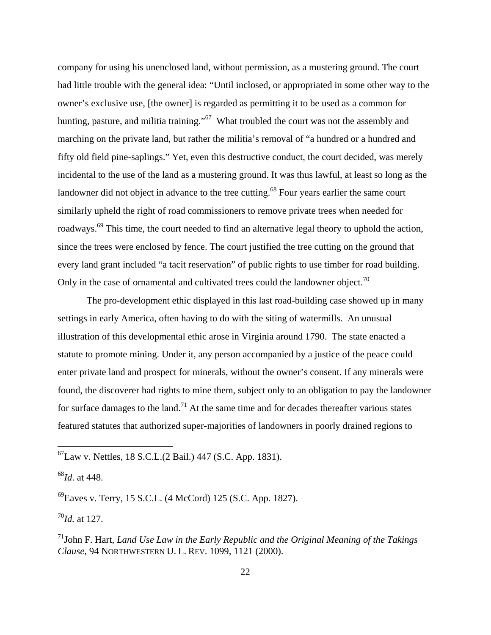company for using his unenclosed land, without permission, as a mustering ground. The court had little trouble with the general idea: "Until inclosed, or appropriated in some other way to the owner's exclusive use, [the owner] is regarded as permitting it to be used as a common for hunting, pasture, and militia training."<sup>67</sup> What troubled the court was not the assembly and marching on the private land, but rather the militia's removal of "a hundred or a hundred and fifty old field pine-saplings." Yet, even this destructive conduct, the court decided, was merely incidental to the use of the land as a mustering ground. It was thus lawful, at least so long as the landowner did not object in advance to the tree cutting.<sup>68</sup> Four years earlier the same court similarly upheld the right of road commissioners to remove private trees when needed for roadways.<sup>69</sup> This time, the court needed to find an alternative legal theory to uphold the action, since the trees were enclosed by fence. The court justified the tree cutting on the ground that every land grant included "a tacit reservation" of public rights to use timber for road building. Only in the case of ornamental and cultivated trees could the landowner object.<sup>70</sup>

 The pro-development ethic displayed in this last road-building case showed up in many settings in early America, often having to do with the siting of watermills. An unusual illustration of this developmental ethic arose in Virginia around 1790. The state enacted a statute to promote mining. Under it, any person accompanied by a justice of the peace could enter private land and prospect for minerals, without the owner's consent. If any minerals were found, the discoverer had rights to mine them, subject only to an obligation to pay the landowner for surface damages to the land.<sup>71</sup> At the same time and for decades thereafter various states featured statutes that authorized super-majorities of landowners in poorly drained regions to

<sup>68</sup>*Id*. at 448.

 $\overline{a}$ 

69Eaves v. Terry, 15 S.C.L. (4 McCord) 125 (S.C. App. 1827).

 $^{70}$ *Id.* at 127.

 ${}^{67}$ Law v. Nettles, 18 S.C.L.(2 Bail.) 447 (S.C. App. 1831).

<sup>71</sup>John F. Hart, *Land Use Law in the Early Republic and the Original Meaning of the Takings Clause*, 94 NORTHWESTERN U. L. REV. 1099, 1121 (2000).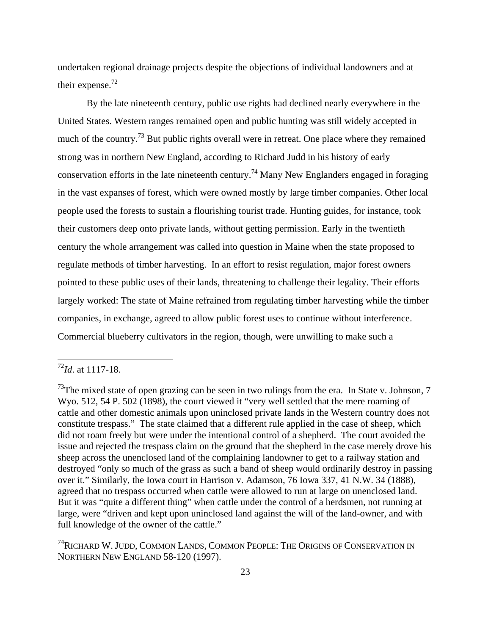undertaken regional drainage projects despite the objections of individual landowners and at their expense. $^{72}$ 

 By the late nineteenth century, public use rights had declined nearly everywhere in the United States. Western ranges remained open and public hunting was still widely accepted in much of the country.<sup>73</sup> But public rights overall were in retreat. One place where they remained strong was in northern New England, according to Richard Judd in his history of early conservation efforts in the late nineteenth century.<sup>74</sup> Many New Englanders engaged in foraging in the vast expanses of forest, which were owned mostly by large timber companies. Other local people used the forests to sustain a flourishing tourist trade. Hunting guides, for instance, took their customers deep onto private lands, without getting permission. Early in the twentieth century the whole arrangement was called into question in Maine when the state proposed to regulate methods of timber harvesting. In an effort to resist regulation, major forest owners pointed to these public uses of their lands, threatening to challenge their legality. Their efforts largely worked: The state of Maine refrained from regulating timber harvesting while the timber companies, in exchange, agreed to allow public forest uses to continue without interference. Commercial blueberry cultivators in the region, though, were unwilling to make such a

<u>.</u>

<sup>72</sup>*Id*. at 1117-18.

 $^{73}$ The mixed state of open grazing can be seen in two rulings from the era. In State v. Johnson, 7 Wyo. 512, 54 P. 502 (1898), the court viewed it "very well settled that the mere roaming of cattle and other domestic animals upon uninclosed private lands in the Western country does not constitute trespass." The state claimed that a different rule applied in the case of sheep, which did not roam freely but were under the intentional control of a shepherd. The court avoided the issue and rejected the trespass claim on the ground that the shepherd in the case merely drove his sheep across the unenclosed land of the complaining landowner to get to a railway station and destroyed "only so much of the grass as such a band of sheep would ordinarily destroy in passing over it." Similarly, the Iowa court in Harrison v. Adamson, 76 Iowa 337, 41 N.W. 34 (1888), agreed that no trespass occurred when cattle were allowed to run at large on unenclosed land. But it was "quite a different thing" when cattle under the control of a herdsmen, not running at large, were "driven and kept upon uninclosed land against the will of the land-owner, and with full knowledge of the owner of the cattle."

<sup>&</sup>lt;sup>74</sup>RICHARD W. JUDD, COMMON LANDS, COMMON PEOPLE: THE ORIGINS OF CONSERVATION IN NORTHERN NEW ENGLAND 58-120 (1997).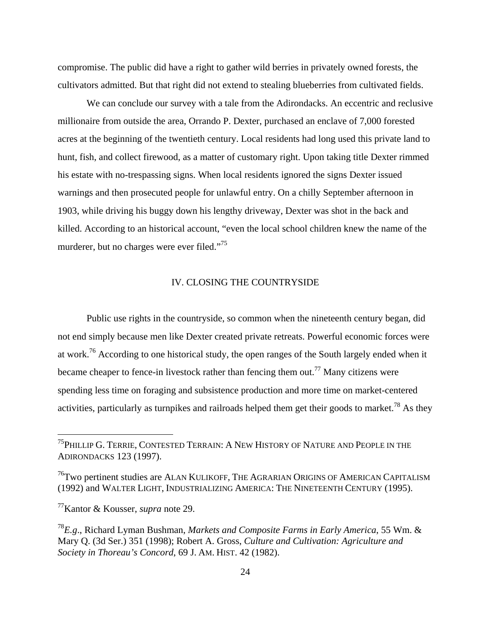compromise. The public did have a right to gather wild berries in privately owned forests, the cultivators admitted. But that right did not extend to stealing blueberries from cultivated fields.

 We can conclude our survey with a tale from the Adirondacks. An eccentric and reclusive millionaire from outside the area, Orrando P. Dexter, purchased an enclave of 7,000 forested acres at the beginning of the twentieth century. Local residents had long used this private land to hunt, fish, and collect firewood, as a matter of customary right. Upon taking title Dexter rimmed his estate with no-trespassing signs. When local residents ignored the signs Dexter issued warnings and then prosecuted people for unlawful entry. On a chilly September afternoon in 1903, while driving his buggy down his lengthy driveway, Dexter was shot in the back and killed. According to an historical account, "even the local school children knew the name of the murderer, but no charges were ever filed."<sup>75</sup>

### IV. CLOSING THE COUNTRYSIDE

 Public use rights in the countryside, so common when the nineteenth century began, did not end simply because men like Dexter created private retreats. Powerful economic forces were at work.76 According to one historical study, the open ranges of the South largely ended when it became cheaper to fence-in livestock rather than fencing them out.<sup>77</sup> Many citizens were spending less time on foraging and subsistence production and more time on market-centered activities, particularly as turnpikes and railroads helped them get their goods to market.<sup>78</sup> As they

1

 $^{75}$ Phillip G. Terrie, Contested Terrain: A New History of Nature and People in the ADIRONDACKS 123 (1997).

<sup>&</sup>lt;sup>76</sup>Two pertinent studies are ALAN KULIKOFF, THE AGRARIAN ORIGINS OF AMERICAN CAPITALISM (1992) and WALTER LIGHT, INDUSTRIALIZING AMERICA: THE NINETEENTH CENTURY (1995).

<sup>77</sup>Kantor & Kousser, *supra* note 29.

<sup>78</sup>*E.g*., Richard Lyman Bushman, *Markets and Composite Farms in Early America*, 55 Wm. & Mary Q. (3d Ser.) 351 (1998); Robert A. Gross, *Culture and Cultivation: Agriculture and Society in Thoreau's Concord*, 69 J. AM. HIST. 42 (1982).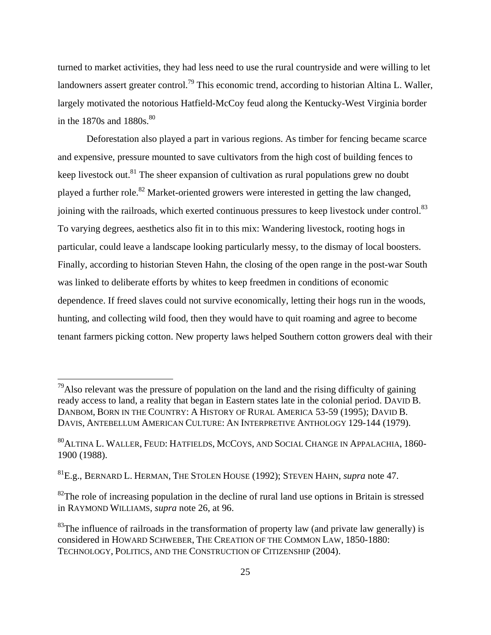turned to market activities, they had less need to use the rural countryside and were willing to let landowners assert greater control.<sup>79</sup> This economic trend, according to historian Altina L. Waller, largely motivated the notorious Hatfield-McCoy feud along the Kentucky-West Virginia border in the 1870s and  $1880s$ .<sup>80</sup>

 Deforestation also played a part in various regions. As timber for fencing became scarce and expensive, pressure mounted to save cultivators from the high cost of building fences to keep livestock out.<sup>81</sup> The sheer expansion of cultivation as rural populations grew no doubt played a further role.82 Market-oriented growers were interested in getting the law changed, joining with the railroads, which exerted continuous pressures to keep livestock under control.<sup>83</sup> To varying degrees, aesthetics also fit in to this mix: Wandering livestock, rooting hogs in particular, could leave a landscape looking particularly messy, to the dismay of local boosters. Finally, according to historian Steven Hahn, the closing of the open range in the post-war South was linked to deliberate efforts by whites to keep freedmen in conditions of economic dependence. If freed slaves could not survive economically, letting their hogs run in the woods, hunting, and collecting wild food, then they would have to quit roaming and agree to become tenant farmers picking cotton. New property laws helped Southern cotton growers deal with their

 $^{79}$ Also relevant was the pressure of population on the land and the rising difficulty of gaining ready access to land, a reality that began in Eastern states late in the colonial period. DAVID B. DANBOM, BORN IN THE COUNTRY: A HISTORY OF RURAL AMERICA 53-59 (1995); DAVID B. DAVIS, ANTEBELLUM AMERICAN CULTURE: AN INTERPRETIVE ANTHOLOGY 129-144 (1979).

<sup>80</sup>ALTINA L. WALLER, FEUD: HATFIELDS, MCCOYS, AND SOCIAL CHANGE IN APPALACHIA, 1860- 1900 (1988).

<sup>81</sup>E.g., BERNARD L. HERMAN, THE STOLEN HOUSE (1992); STEVEN HAHN, *supra* note 47.

 $82$ The role of increasing population in the decline of rural land use options in Britain is stressed in RAYMOND WILLIAMS, *supra* note 26, at 96.

 $83$ The influence of railroads in the transformation of property law (and private law generally) is considered in HOWARD SCHWEBER, THE CREATION OF THE COMMON LAW, 1850-1880: TECHNOLOGY, POLITICS, AND THE CONSTRUCTION OF CITIZENSHIP (2004).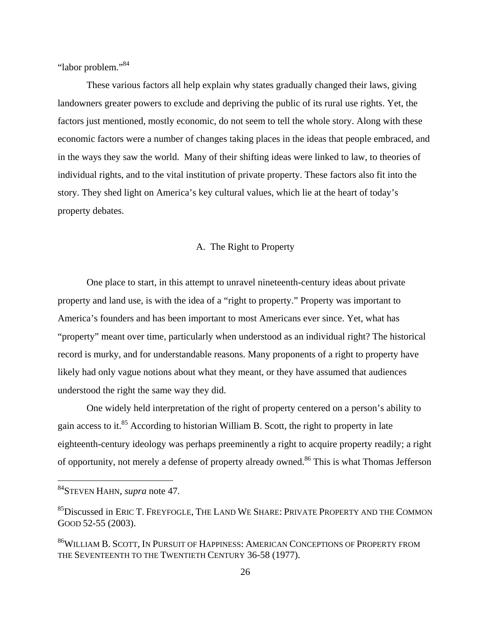"labor problem."<sup>84</sup>

 These various factors all help explain why states gradually changed their laws, giving landowners greater powers to exclude and depriving the public of its rural use rights. Yet, the factors just mentioned, mostly economic, do not seem to tell the whole story. Along with these economic factors were a number of changes taking places in the ideas that people embraced, and in the ways they saw the world. Many of their shifting ideas were linked to law, to theories of individual rights, and to the vital institution of private property. These factors also fit into the story. They shed light on America's key cultural values, which lie at the heart of today's property debates.

## A. The Right to Property

 One place to start, in this attempt to unravel nineteenth-century ideas about private property and land use, is with the idea of a "right to property." Property was important to America's founders and has been important to most Americans ever since. Yet, what has "property" meant over time, particularly when understood as an individual right? The historical record is murky, and for understandable reasons. Many proponents of a right to property have likely had only vague notions about what they meant, or they have assumed that audiences understood the right the same way they did.

 One widely held interpretation of the right of property centered on a person's ability to gain access to it.<sup>85</sup> According to historian William B. Scott, the right to property in late eighteenth-century ideology was perhaps preeminently a right to acquire property readily; a right of opportunity, not merely a defense of property already owned.<sup>86</sup> This is what Thomas Jefferson

<sup>84</sup>STEVEN HAHN, *supra* note 47.

<sup>85</sup>Discussed in ERIC T. FREYFOGLE, THE LAND WE SHARE: PRIVATE PROPERTY AND THE COMMON GOOD 52-55 (2003).

<sup>86</sup>WILLIAM B. SCOTT, IN PURSUIT OF HAPPINESS: AMERICAN CONCEPTIONS OF PROPERTY FROM THE SEVENTEENTH TO THE TWENTIETH CENTURY 36-58 (1977).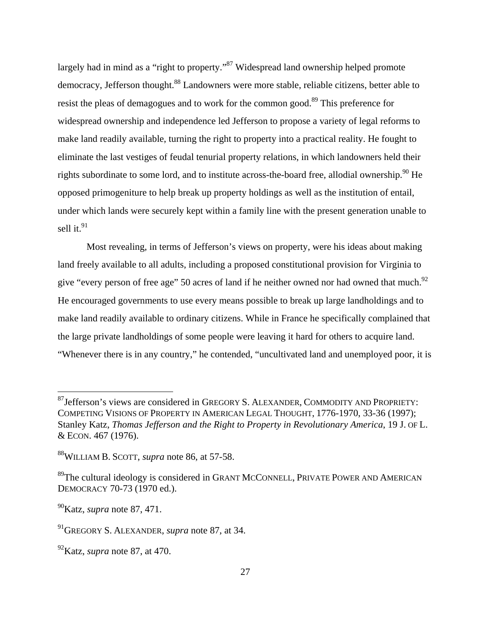largely had in mind as a "right to property."<sup>87</sup> Widespread land ownership helped promote democracy, Jefferson thought.<sup>88</sup> Landowners were more stable, reliable citizens, better able to resist the pleas of demagogues and to work for the common good.<sup>89</sup> This preference for widespread ownership and independence led Jefferson to propose a variety of legal reforms to make land readily available, turning the right to property into a practical reality. He fought to eliminate the last vestiges of feudal tenurial property relations, in which landowners held their rights subordinate to some lord, and to institute across-the-board free, allodial ownership.<sup>90</sup> He opposed primogeniture to help break up property holdings as well as the institution of entail, under which lands were securely kept within a family line with the present generation unable to sell it. $91$ 

 Most revealing, in terms of Jefferson's views on property, were his ideas about making land freely available to all adults, including a proposed constitutional provision for Virginia to give "every person of free age" 50 acres of land if he neither owned nor had owned that much.<sup>92</sup> He encouraged governments to use every means possible to break up large landholdings and to make land readily available to ordinary citizens. While in France he specifically complained that the large private landholdings of some people were leaving it hard for others to acquire land. "Whenever there is in any country," he contended, "uncultivated land and unemployed poor, it is

1

 $^{87}$ Jefferson's views are considered in GREGORY S. ALEXANDER, COMMODITY AND PROPRIETY: COMPETING VISIONS OF PROPERTY IN AMERICAN LEGAL THOUGHT, 1776-1970, 33-36 (1997); Stanley Katz, *Thomas Jefferson and the Right to Property in Revolutionary America*, 19 J. OF L. & ECON. 467 (1976).

<sup>88</sup>WILLIAM B. SCOTT, *supra* note 86, at 57-58.

<sup>&</sup>lt;sup>89</sup>The cultural ideology is considered in GRANT MCCONNELL, PRIVATE POWER AND AMERICAN DEMOCRACY 70-73 (1970 ed.).

<sup>90</sup>Katz, *supra* note 87, 471.

<sup>91</sup>GREGORY S. ALEXANDER, *supra* note 87, at 34.

<sup>92</sup>Katz, *supra* note 87, at 470.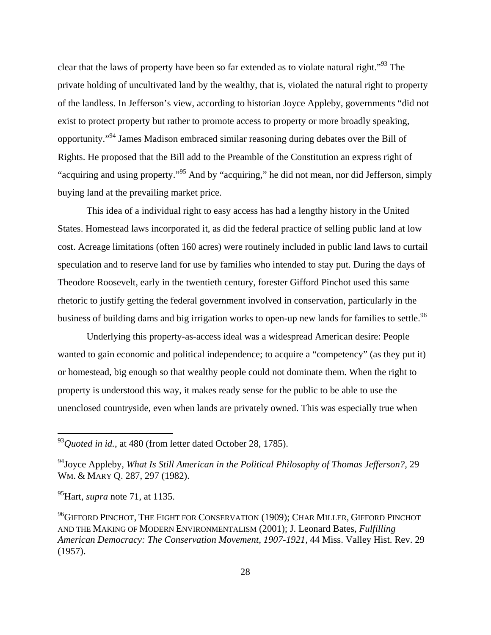clear that the laws of property have been so far extended as to violate natural right."93 The private holding of uncultivated land by the wealthy, that is, violated the natural right to property of the landless. In Jefferson's view, according to historian Joyce Appleby, governments "did not exist to protect property but rather to promote access to property or more broadly speaking, opportunity."94 James Madison embraced similar reasoning during debates over the Bill of Rights. He proposed that the Bill add to the Preamble of the Constitution an express right of "acquiring and using property."95 And by "acquiring," he did not mean, nor did Jefferson, simply buying land at the prevailing market price.

 This idea of a individual right to easy access has had a lengthy history in the United States. Homestead laws incorporated it, as did the federal practice of selling public land at low cost. Acreage limitations (often 160 acres) were routinely included in public land laws to curtail speculation and to reserve land for use by families who intended to stay put. During the days of Theodore Roosevelt, early in the twentieth century, forester Gifford Pinchot used this same rhetoric to justify getting the federal government involved in conservation, particularly in the business of building dams and big irrigation works to open-up new lands for families to settle.<sup>96</sup>

 Underlying this property-as-access ideal was a widespread American desire: People wanted to gain economic and political independence; to acquire a "competency" (as they put it) or homestead, big enough so that wealthy people could not dominate them. When the right to property is understood this way, it makes ready sense for the public to be able to use the unenclosed countryside, even when lands are privately owned. This was especially true when

1

<sup>93</sup>*Quoted in id.*, at 480 (from letter dated October 28, 1785).

<sup>94</sup>Joyce Appleby, *What Is Still American in the Political Philosophy of Thomas Jefferson?,* 29 WM. & MARY Q. 287, 297 (1982).

<sup>95</sup>Hart, *supra* note 71, at 1135.

<sup>&</sup>lt;sup>96</sup>GIFFORD PINCHOT, THE FIGHT FOR CONSERVATION (1909); CHAR MILLER, GIFFORD PINCHOT AND THE MAKING OF MODERN ENVIRONMENTALISM (2001); J. Leonard Bates, *Fulfilling American Democracy: The Conservation Movement, 1907-1921,* 44 Miss. Valley Hist. Rev. 29 (1957).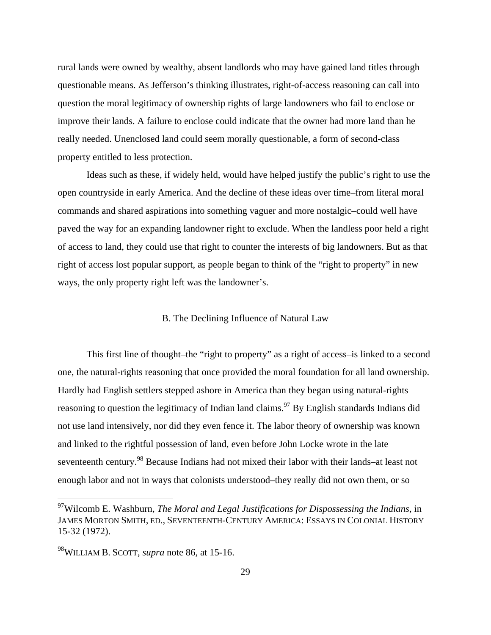rural lands were owned by wealthy, absent landlords who may have gained land titles through questionable means. As Jefferson's thinking illustrates, right-of-access reasoning can call into question the moral legitimacy of ownership rights of large landowners who fail to enclose or improve their lands. A failure to enclose could indicate that the owner had more land than he really needed. Unenclosed land could seem morally questionable, a form of second-class property entitled to less protection.

 Ideas such as these, if widely held, would have helped justify the public's right to use the open countryside in early America. And the decline of these ideas over time–from literal moral commands and shared aspirations into something vaguer and more nostalgic–could well have paved the way for an expanding landowner right to exclude. When the landless poor held a right of access to land, they could use that right to counter the interests of big landowners. But as that right of access lost popular support, as people began to think of the "right to property" in new ways, the only property right left was the landowner's.

# B. The Declining Influence of Natural Law

 This first line of thought–the "right to property" as a right of access–is linked to a second one, the natural-rights reasoning that once provided the moral foundation for all land ownership. Hardly had English settlers stepped ashore in America than they began using natural-rights reasoning to question the legitimacy of Indian land claims.<sup>97</sup> By English standards Indians did not use land intensively, nor did they even fence it. The labor theory of ownership was known and linked to the rightful possession of land, even before John Locke wrote in the late seventeenth century.<sup>98</sup> Because Indians had not mixed their labor with their lands–at least not enough labor and not in ways that colonists understood–they really did not own them, or so

<sup>97</sup>Wilcomb E. Washburn, *The Moral and Legal Justifications for Dispossessing the Indians*, in JAMES MORTON SMITH, ED., SEVENTEENTH-CENTURY AMERICA: ESSAYS IN COLONIAL HISTORY 15-32 (1972).

<sup>98</sup>WILLIAM B. SCOTT, *supra* note 86, at 15-16.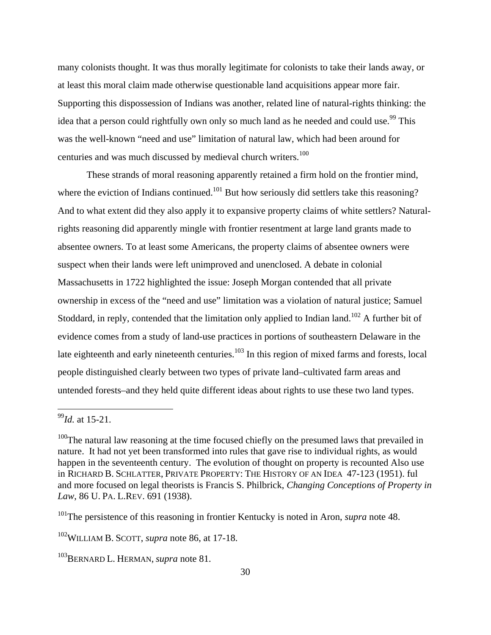many colonists thought. It was thus morally legitimate for colonists to take their lands away, or at least this moral claim made otherwise questionable land acquisitions appear more fair. Supporting this dispossession of Indians was another, related line of natural-rights thinking: the idea that a person could rightfully own only so much land as he needed and could use.<sup>99</sup> This was the well-known "need and use" limitation of natural law, which had been around for centuries and was much discussed by medieval church writers.<sup>100</sup>

 These strands of moral reasoning apparently retained a firm hold on the frontier mind, where the eviction of Indians continued.<sup>101</sup> But how seriously did settlers take this reasoning? And to what extent did they also apply it to expansive property claims of white settlers? Naturalrights reasoning did apparently mingle with frontier resentment at large land grants made to absentee owners. To at least some Americans, the property claims of absentee owners were suspect when their lands were left unimproved and unenclosed. A debate in colonial Massachusetts in 1722 highlighted the issue: Joseph Morgan contended that all private ownership in excess of the "need and use" limitation was a violation of natural justice; Samuel Stoddard, in reply, contended that the limitation only applied to Indian land.<sup>102</sup> A further bit of evidence comes from a study of land-use practices in portions of southeastern Delaware in the late eighteenth and early nineteenth centuries. $103$  In this region of mixed farms and forests, local people distinguished clearly between two types of private land–cultivated farm areas and untended forests–and they held quite different ideas about rights to use these two land types.

 $\overline{a}$ 

<sup>101</sup>The persistence of this reasoning in frontier Kentucky is noted in Aron, *supra* note 48.

<sup>99</sup>*Id.* at 15-21.

 $100$ The natural law reasoning at the time focused chiefly on the presumed laws that prevailed in nature. It had not yet been transformed into rules that gave rise to individual rights, as would happen in the seventeenth century. The evolution of thought on property is recounted Also use in RICHARD B. SCHLATTER, PRIVATE PROPERTY: THE HISTORY OF AN IDEA 47-123 (1951). ful and more focused on legal theorists is Francis S. Philbrick, *Changing Conceptions of Property in Law*, 86 U. PA. L.REV. 691 (1938).

<sup>102</sup>WILLIAM B. SCOTT, *supra* note 86, at 17-18.

<sup>103</sup>BERNARD L. HERMAN, *supra* note 81.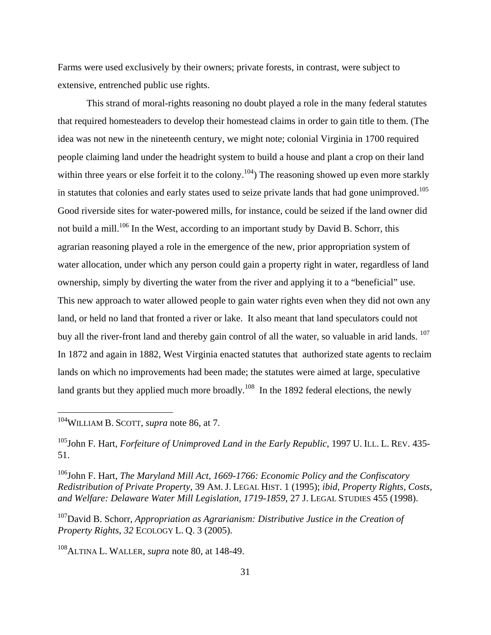Farms were used exclusively by their owners; private forests, in contrast, were subject to extensive, entrenched public use rights.

 This strand of moral-rights reasoning no doubt played a role in the many federal statutes that required homesteaders to develop their homestead claims in order to gain title to them. (The idea was not new in the nineteenth century, we might note; colonial Virginia in 1700 required people claiming land under the headright system to build a house and plant a crop on their land within three years or else forfeit it to the colony.<sup>104</sup>) The reasoning showed up even more starkly in statutes that colonies and early states used to seize private lands that had gone unimproved.<sup>105</sup> Good riverside sites for water-powered mills, for instance, could be seized if the land owner did not build a mill.<sup>106</sup> In the West, according to an important study by David B. Schorr, this agrarian reasoning played a role in the emergence of the new, prior appropriation system of water allocation, under which any person could gain a property right in water, regardless of land ownership, simply by diverting the water from the river and applying it to a "beneficial" use. This new approach to water allowed people to gain water rights even when they did not own any land, or held no land that fronted a river or lake. It also meant that land speculators could not buy all the river-front land and thereby gain control of all the water, so valuable in arid lands. <sup>107</sup> In 1872 and again in 1882, West Virginia enacted statutes that authorized state agents to reclaim lands on which no improvements had been made; the statutes were aimed at large, speculative land grants but they applied much more broadly.<sup>108</sup> In the 1892 federal elections, the newly

<sup>104</sup>WILLIAM B. SCOTT, *supra* note 86, at 7.

<sup>105</sup>John F. Hart, *Forfeiture of Unimproved Land in the Early Republic*, 1997 U. ILL. L. REV. 435- 51.

<sup>&</sup>lt;sup>106</sup>John F. Hart, *The Maryland Mill Act, 1669-1766: Economic Policy and the Confiscatory Redistribution of Private Property*, 39 AM. J. LEGAL HIST. 1 (1995); *ibid*, *Property Rights, Costs, and Welfare: Delaware Water Mill Legislation, 1719-1859*, 27 J. LEGAL STUDIES 455 (1998).

<sup>107</sup>David B. Schorr, *Appropriation as Agrarianism: Distributive Justice in the Creation of Property Rights*, *32* ECOLOGY L. Q. 3 (2005).

<sup>108</sup>ALTINA L. WALLER, *supra* note 80, at 148-49.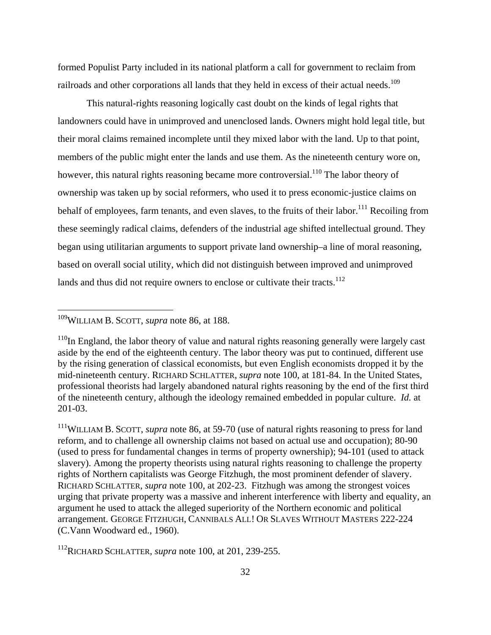formed Populist Party included in its national platform a call for government to reclaim from railroads and other corporations all lands that they held in excess of their actual needs.<sup>109</sup>

 This natural-rights reasoning logically cast doubt on the kinds of legal rights that landowners could have in unimproved and unenclosed lands. Owners might hold legal title, but their moral claims remained incomplete until they mixed labor with the land. Up to that point, members of the public might enter the lands and use them. As the nineteenth century wore on, however, this natural rights reasoning became more controversial.<sup>110</sup> The labor theory of ownership was taken up by social reformers, who used it to press economic-justice claims on behalf of employees, farm tenants, and even slaves, to the fruits of their labor.<sup>111</sup> Recoiling from these seemingly radical claims, defenders of the industrial age shifted intellectual ground. They began using utilitarian arguments to support private land ownership–a line of moral reasoning, based on overall social utility, which did not distinguish between improved and unimproved lands and thus did not require owners to enclose or cultivate their tracts.<sup>112</sup>

<sup>109</sup>WILLIAM B. SCOTT, *supra* note 86, at 188.

 $110$ In England, the labor theory of value and natural rights reasoning generally were largely cast aside by the end of the eighteenth century. The labor theory was put to continued, different use by the rising generation of classical economists, but even English economists dropped it by the mid-nineteenth century. RICHARD SCHLATTER, *supra* note 100, at 181-84. In the United States, professional theorists had largely abandoned natural rights reasoning by the end of the first third of the nineteenth century, although the ideology remained embedded in popular culture. *Id.* at 201-03.

<sup>&</sup>lt;sup>111</sup>WILLIAM B. SCOTT, *supra* note 86, at 59-70 (use of natural rights reasoning to press for land reform, and to challenge all ownership claims not based on actual use and occupation); 80-90 (used to press for fundamental changes in terms of property ownership); 94-101 (used to attack slavery). Among the property theorists using natural rights reasoning to challenge the property rights of Northern capitalists was George Fitzhugh, the most prominent defender of slavery. RICHARD SCHLATTER, *supra* note 100, at 202-23. Fitzhugh was among the strongest voices urging that private property was a massive and inherent interference with liberty and equality, an argument he used to attack the alleged superiority of the Northern economic and political arrangement. GEORGE FITZHUGH, CANNIBALS ALL! OR SLAVES WITHOUT MASTERS 222-224 (C.Vann Woodward ed., 1960).

<sup>112</sup>RICHARD SCHLATTER, *supra* note 100, at 201, 239-255.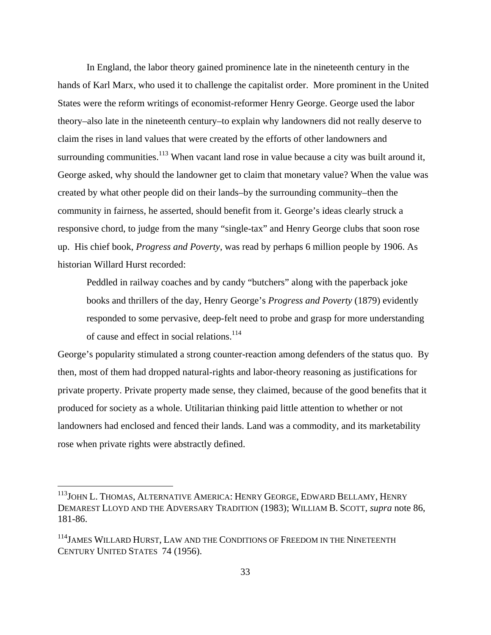In England, the labor theory gained prominence late in the nineteenth century in the hands of Karl Marx, who used it to challenge the capitalist order. More prominent in the United States were the reform writings of economist-reformer Henry George. George used the labor theory–also late in the nineteenth century–to explain why landowners did not really deserve to claim the rises in land values that were created by the efforts of other landowners and surrounding communities.<sup>113</sup> When vacant land rose in value because a city was built around it, George asked, why should the landowner get to claim that monetary value? When the value was created by what other people did on their lands–by the surrounding community–then the community in fairness, he asserted, should benefit from it. George's ideas clearly struck a responsive chord, to judge from the many "single-tax" and Henry George clubs that soon rose up. His chief book, *Progress and Poverty*, was read by perhaps 6 million people by 1906. As historian Willard Hurst recorded:

Peddled in railway coaches and by candy "butchers" along with the paperback joke books and thrillers of the day, Henry George's *Progress and Poverty* (1879) evidently responded to some pervasive, deep-felt need to probe and grasp for more understanding of cause and effect in social relations.<sup>114</sup>

George's popularity stimulated a strong counter-reaction among defenders of the status quo. By then, most of them had dropped natural-rights and labor-theory reasoning as justifications for private property. Private property made sense, they claimed, because of the good benefits that it produced for society as a whole. Utilitarian thinking paid little attention to whether or not landowners had enclosed and fenced their lands. Land was a commodity, and its marketability rose when private rights were abstractly defined.

<sup>&</sup>lt;sup>113</sup>JOHN L. THOMAS, ALTERNATIVE AMERICA: HENRY GEORGE, EDWARD BELLAMY, HENRY DEMAREST LLOYD AND THE ADVERSARY TRADITION (1983); WILLIAM B. SCOTT, *supra* note 86, 181-86.

<sup>&</sup>lt;sup>114</sup>JAMES WILLARD HURST, LAW AND THE CONDITIONS OF FREEDOM IN THE NINETEENTH CENTURY UNITED STATES 74 (1956).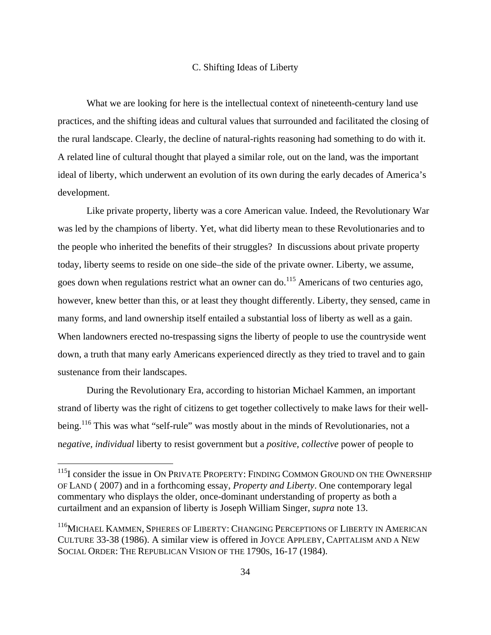#### C. Shifting Ideas of Liberty

 What we are looking for here is the intellectual context of nineteenth-century land use practices, and the shifting ideas and cultural values that surrounded and facilitated the closing of the rural landscape. Clearly, the decline of natural-rights reasoning had something to do with it. A related line of cultural thought that played a similar role, out on the land, was the important ideal of liberty, which underwent an evolution of its own during the early decades of America's development.

 Like private property, liberty was a core American value. Indeed, the Revolutionary War was led by the champions of liberty. Yet, what did liberty mean to these Revolutionaries and to the people who inherited the benefits of their struggles? In discussions about private property today, liberty seems to reside on one side–the side of the private owner. Liberty, we assume, goes down when regulations restrict what an owner can do.<sup>115</sup> Americans of two centuries ago, however, knew better than this, or at least they thought differently. Liberty, they sensed, came in many forms, and land ownership itself entailed a substantial loss of liberty as well as a gain. When landowners erected no-trespassing signs the liberty of people to use the countryside went down, a truth that many early Americans experienced directly as they tried to travel and to gain sustenance from their landscapes.

 During the Revolutionary Era, according to historian Michael Kammen, an important strand of liberty was the right of citizens to get together collectively to make laws for their wellbeing.<sup>116</sup> This was what "self-rule" was mostly about in the minds of Revolutionaries, not a n*egative, individual* liberty to resist government but a *positive, collective* power of people to

<sup>&</sup>lt;sup>115</sup>I consider the issue in ON PRIVATE PROPERTY: FINDING COMMON GROUND ON THE OWNERSHIP OF LAND ( 2007) and in a forthcoming essay, *Property and Liberty*. One contemporary legal commentary who displays the older, once-dominant understanding of property as both a curtailment and an expansion of liberty is Joseph William Singer, *supra* note 13.

<sup>&</sup>lt;sup>116</sup>MICHAEL KAMMEN, SPHERES OF LIBERTY: CHANGING PERCEPTIONS OF LIBERTY IN AMERICAN CULTURE 33-38 (1986). A similar view is offered in JOYCE APPLEBY, CAPITALISM AND A NEW SOCIAL ORDER: THE REPUBLICAN VISION OF THE 1790S, 16-17 (1984).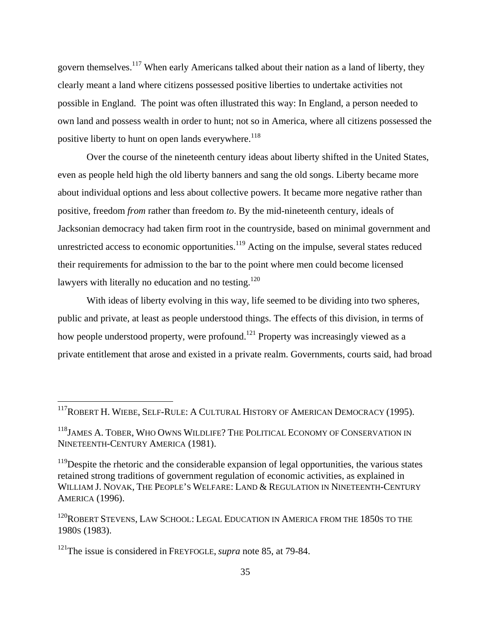govern themselves.<sup>117</sup> When early Americans talked about their nation as a land of liberty, they clearly meant a land where citizens possessed positive liberties to undertake activities not possible in England. The point was often illustrated this way: In England, a person needed to own land and possess wealth in order to hunt; not so in America, where all citizens possessed the positive liberty to hunt on open lands everywhere.<sup>118</sup>

 Over the course of the nineteenth century ideas about liberty shifted in the United States, even as people held high the old liberty banners and sang the old songs. Liberty became more about individual options and less about collective powers. It became more negative rather than positive, freedom *from* rather than freedom *to*. By the mid-nineteenth century, ideals of Jacksonian democracy had taken firm root in the countryside, based on minimal government and unrestricted access to economic opportunities. $119$  Acting on the impulse, several states reduced their requirements for admission to the bar to the point where men could become licensed lawyers with literally no education and no testing.<sup>120</sup>

With ideas of liberty evolving in this way, life seemed to be dividing into two spheres, public and private, at least as people understood things. The effects of this division, in terms of how people understood property, were profound.<sup>121</sup> Property was increasingly viewed as a private entitlement that arose and existed in a private realm. Governments, courts said, had broad

<sup>&</sup>lt;sup>117</sup>ROBERT H. WIEBE, SELF-RULE: A CULTURAL HISTORY OF AMERICAN DEMOCRACY (1995).

<sup>118</sup>JAMES A. TOBER, WHO OWNS WILDLIFE? THE POLITICAL ECONOMY OF CONSERVATION IN NINETEENTH-CENTURY AMERICA (1981).

 $119$ Despite the rhetoric and the considerable expansion of legal opportunities, the various states retained strong traditions of government regulation of economic activities, as explained in WILLIAM J. NOVAK, THE PEOPLE'S WELFARE: LAND & REGULATION IN NINETEENTH-CENTURY AMERICA (1996).

<sup>&</sup>lt;sup>120</sup>ROBERT STEVENS, LAW SCHOOL: LEGAL EDUCATION IN AMERICA FROM THE 1850S TO THE 1980S (1983).

<sup>121</sup>The issue is considered in FREYFOGLE, *supra* note 85, at 79-84.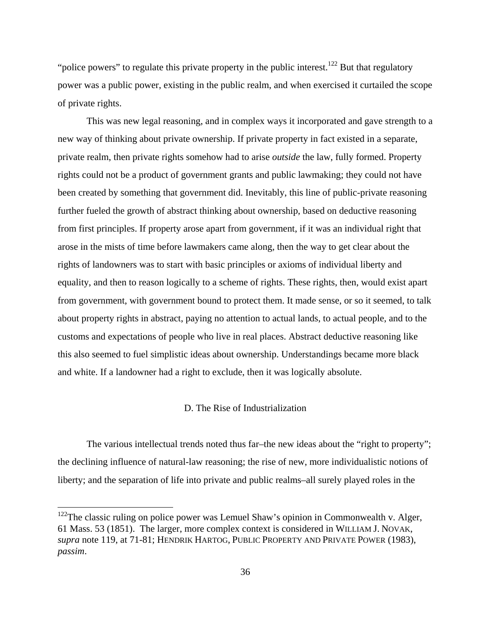"police powers" to regulate this private property in the public interest.<sup>122</sup> But that regulatory power was a public power, existing in the public realm, and when exercised it curtailed the scope of private rights.

 This was new legal reasoning, and in complex ways it incorporated and gave strength to a new way of thinking about private ownership. If private property in fact existed in a separate, private realm, then private rights somehow had to arise *outside* the law, fully formed. Property rights could not be a product of government grants and public lawmaking; they could not have been created by something that government did. Inevitably, this line of public-private reasoning further fueled the growth of abstract thinking about ownership, based on deductive reasoning from first principles. If property arose apart from government, if it was an individual right that arose in the mists of time before lawmakers came along, then the way to get clear about the rights of landowners was to start with basic principles or axioms of individual liberty and equality, and then to reason logically to a scheme of rights. These rights, then, would exist apart from government, with government bound to protect them. It made sense, or so it seemed, to talk about property rights in abstract, paying no attention to actual lands, to actual people, and to the customs and expectations of people who live in real places. Abstract deductive reasoning like this also seemed to fuel simplistic ideas about ownership. Understandings became more black and white. If a landowner had a right to exclude, then it was logically absolute.

D. The Rise of Industrialization

 The various intellectual trends noted thus far–the new ideas about the "right to property"; the declining influence of natural-law reasoning; the rise of new, more individualistic notions of liberty; and the separation of life into private and public realms–all surely played roles in the

1

 $122$ The classic ruling on police power was Lemuel Shaw's opinion in Commonwealth v. Alger, 61 Mass. 53 (1851). The larger, more complex context is considered in WILLIAM J. NOVAK, *supra* note 119, at 71-81; HENDRIK HARTOG, PUBLIC PROPERTY AND PRIVATE POWER (1983), *passim*.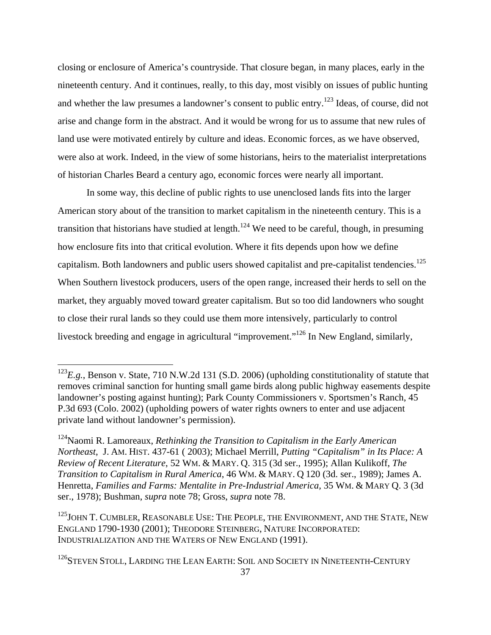closing or enclosure of America's countryside. That closure began, in many places, early in the nineteenth century. And it continues, really, to this day, most visibly on issues of public hunting and whether the law presumes a landowner's consent to public entry.<sup>123</sup> Ideas, of course, did not arise and change form in the abstract. And it would be wrong for us to assume that new rules of land use were motivated entirely by culture and ideas. Economic forces, as we have observed, were also at work. Indeed, in the view of some historians, heirs to the materialist interpretations of historian Charles Beard a century ago, economic forces were nearly all important.

 In some way, this decline of public rights to use unenclosed lands fits into the larger American story about of the transition to market capitalism in the nineteenth century. This is a transition that historians have studied at length.<sup>124</sup> We need to be careful, though, in presuming how enclosure fits into that critical evolution. Where it fits depends upon how we define capitalism. Both landowners and public users showed capitalist and pre-capitalist tendencies.<sup>125</sup> When Southern livestock producers, users of the open range, increased their herds to sell on the market, they arguably moved toward greater capitalism. But so too did landowners who sought to close their rural lands so they could use them more intensively, particularly to control livestock breeding and engage in agricultural "improvement."126 In New England, similarly,

1

<sup>125</sup>JOHN T. CUMBLER, REASONABLE USE: THE PEOPLE, THE ENVIRONMENT, AND THE STATE, NEW ENGLAND 1790-1930 (2001); THEODORE STEINBERG, NATURE INCORPORATED: INDUSTRIALIZATION AND THE WATERS OF NEW ENGLAND (1991).

<sup>126</sup>STEVEN STOLL, LARDING THE LEAN EARTH: SOIL AND SOCIETY IN NINETEENTH-CENTURY

<sup>&</sup>lt;sup>123</sup>E.g., Benson v. State, 710 N.W.2d 131 (S.D. 2006) (upholding constitutionality of statute that removes criminal sanction for hunting small game birds along public highway easements despite landowner's posting against hunting); Park County Commissioners v. Sportsmen's Ranch, 45 P.3d 693 (Colo. 2002) (upholding powers of water rights owners to enter and use adjacent private land without landowner's permission).

<sup>&</sup>lt;sup>124</sup>Naomi R. Lamoreaux, *Rethinking the Transition to Capitalism in the Early American Northeast*, J. AM. HIST. 437-61 ( 2003); Michael Merrill, *Putting "Capitalism" in Its Place: A Review of Recent Literature*, 52 WM. & MARY. Q. 315 (3d ser., 1995); Allan Kulikoff, *The Transition to Capitalism in Rural America*, 46 WM. & MARY. Q 120 (3d. ser., 1989); James A. Henretta, *Families and Farms: Mentalite in Pre-Industrial America,* 35 WM. & MARY Q. 3 (3d ser., 1978); Bushman, *supra* note 78; Gross, *supra* note 78.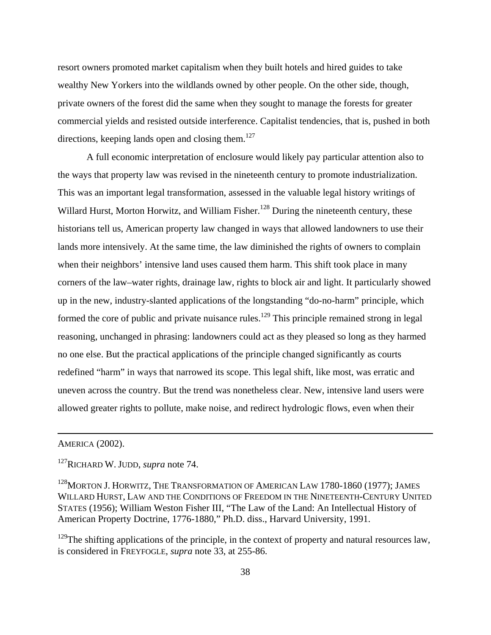resort owners promoted market capitalism when they built hotels and hired guides to take wealthy New Yorkers into the wildlands owned by other people. On the other side, though, private owners of the forest did the same when they sought to manage the forests for greater commercial yields and resisted outside interference. Capitalist tendencies, that is, pushed in both directions, keeping lands open and closing them.<sup>127</sup>

 A full economic interpretation of enclosure would likely pay particular attention also to the ways that property law was revised in the nineteenth century to promote industrialization. This was an important legal transformation, assessed in the valuable legal history writings of Willard Hurst, Morton Horwitz, and William Fisher.<sup>128</sup> During the nineteenth century, these historians tell us, American property law changed in ways that allowed landowners to use their lands more intensively. At the same time, the law diminished the rights of owners to complain when their neighbors' intensive land uses caused them harm. This shift took place in many corners of the law–water rights, drainage law, rights to block air and light. It particularly showed up in the new, industry-slanted applications of the longstanding "do-no-harm" principle, which formed the core of public and private nuisance rules.<sup>129</sup> This principle remained strong in legal reasoning, unchanged in phrasing: landowners could act as they pleased so long as they harmed no one else. But the practical applications of the principle changed significantly as courts redefined "harm" in ways that narrowed its scope. This legal shift, like most, was erratic and uneven across the country. But the trend was nonetheless clear. New, intensive land users were allowed greater rights to pollute, make noise, and redirect hydrologic flows, even when their

AMERICA (2002).

 $\overline{a}$ 

127RICHARD W. JUDD, *supra* note 74.

<sup>128</sup>MORTON J. HORWITZ, THE TRANSFORMATION OF AMERICAN LAW 1780-1860 (1977); JAMES WILLARD HURST, LAW AND THE CONDITIONS OF FREEDOM IN THE NINETEENTH-CENTURY UNITED STATES (1956); William Weston Fisher III, "The Law of the Land: An Intellectual History of American Property Doctrine, 1776-1880," Ph.D. diss., Harvard University, 1991.

 $129$ The shifting applications of the principle, in the context of property and natural resources law, is considered in FREYFOGLE, *supra* note 33, at 255-86.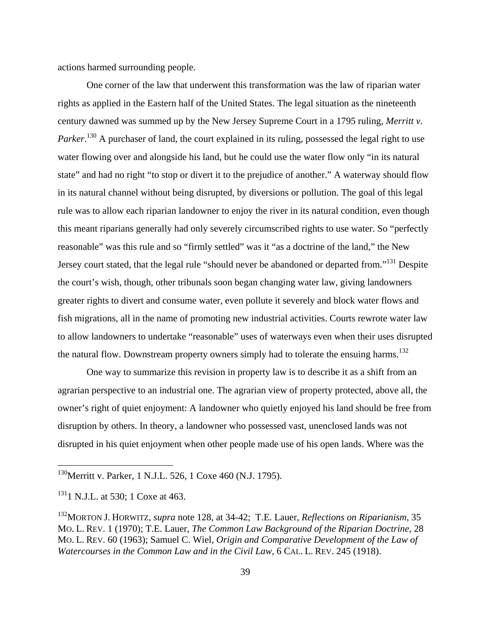actions harmed surrounding people.

 One corner of the law that underwent this transformation was the law of riparian water rights as applied in the Eastern half of the United States. The legal situation as the nineteenth century dawned was summed up by the New Jersey Supreme Court in a 1795 ruling, *Merritt v.*  Parker.<sup>130</sup> A purchaser of land, the court explained in its ruling, possessed the legal right to use water flowing over and alongside his land, but he could use the water flow only "in its natural state" and had no right "to stop or divert it to the prejudice of another." A waterway should flow in its natural channel without being disrupted, by diversions or pollution. The goal of this legal rule was to allow each riparian landowner to enjoy the river in its natural condition, even though this meant riparians generally had only severely circumscribed rights to use water. So "perfectly reasonable" was this rule and so "firmly settled" was it "as a doctrine of the land," the New Jersey court stated, that the legal rule "should never be abandoned or departed from."131 Despite the court's wish, though, other tribunals soon began changing water law, giving landowners greater rights to divert and consume water, even pollute it severely and block water flows and fish migrations, all in the name of promoting new industrial activities. Courts rewrote water law to allow landowners to undertake "reasonable" uses of waterways even when their uses disrupted the natural flow. Downstream property owners simply had to tolerate the ensuing harms.<sup>132</sup>

 One way to summarize this revision in property law is to describe it as a shift from an agrarian perspective to an industrial one. The agrarian view of property protected, above all, the owner's right of quiet enjoyment: A landowner who quietly enjoyed his land should be free from disruption by others. In theory, a landowner who possessed vast, unenclosed lands was not disrupted in his quiet enjoyment when other people made use of his open lands. Where was the

<sup>&</sup>lt;sup>130</sup>Merritt v. Parker, 1 N.J.L. 526, 1 Coxe 460 (N.J. 1795).

 $131$  N.J.L. at 530; 1 Coxe at 463.

<sup>132</sup>MORTON J. HORWITZ, *supra* note 128, at 34-42; T.E. Lauer, *Reflections on Riparianism*, 35 MO. L. REV. 1 (1970); T.E. Lauer, *The Common Law Background of the Riparian Doctrine*, 28 MO. L. REV. 60 (1963); Samuel C. Wiel, *Origin and Comparative Development of the Law of Watercourses in the Common Law and in the Civil Law*, 6 CAL. L. REV. 245 (1918).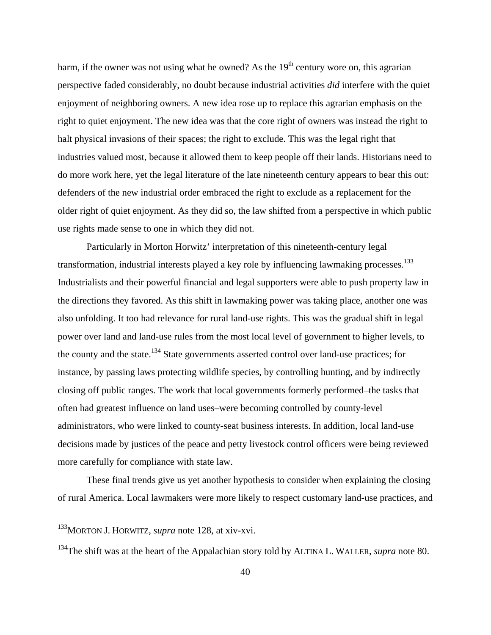harm, if the owner was not using what he owned? As the  $19<sup>th</sup>$  century wore on, this agrarian perspective faded considerably, no doubt because industrial activities *did* interfere with the quiet enjoyment of neighboring owners. A new idea rose up to replace this agrarian emphasis on the right to quiet enjoyment. The new idea was that the core right of owners was instead the right to halt physical invasions of their spaces; the right to exclude. This was the legal right that industries valued most, because it allowed them to keep people off their lands. Historians need to do more work here, yet the legal literature of the late nineteenth century appears to bear this out: defenders of the new industrial order embraced the right to exclude as a replacement for the older right of quiet enjoyment. As they did so, the law shifted from a perspective in which public use rights made sense to one in which they did not.

 Particularly in Morton Horwitz' interpretation of this nineteenth-century legal transformation, industrial interests played a key role by influencing lawmaking processes.<sup>133</sup> Industrialists and their powerful financial and legal supporters were able to push property law in the directions they favored. As this shift in lawmaking power was taking place, another one was also unfolding. It too had relevance for rural land-use rights. This was the gradual shift in legal power over land and land-use rules from the most local level of government to higher levels, to the county and the state.<sup>134</sup> State governments asserted control over land-use practices; for instance, by passing laws protecting wildlife species, by controlling hunting, and by indirectly closing off public ranges. The work that local governments formerly performed–the tasks that often had greatest influence on land uses–were becoming controlled by county-level administrators, who were linked to county-seat business interests. In addition, local land-use decisions made by justices of the peace and petty livestock control officers were being reviewed more carefully for compliance with state law.

 These final trends give us yet another hypothesis to consider when explaining the closing of rural America. Local lawmakers were more likely to respect customary land-use practices, and

<sup>133</sup>MORTON J. HORWITZ, *supra* note 128, at xiv-xvi.

<sup>134</sup>The shift was at the heart of the Appalachian story told by ALTINA L. WALLER, *supra* note 80.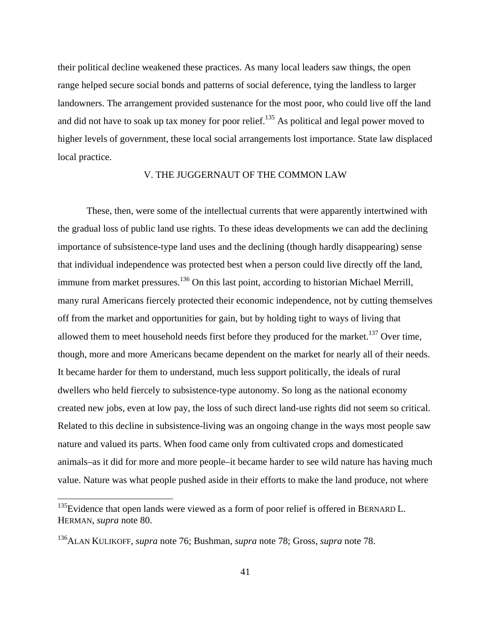their political decline weakened these practices. As many local leaders saw things, the open range helped secure social bonds and patterns of social deference, tying the landless to larger landowners. The arrangement provided sustenance for the most poor, who could live off the land and did not have to soak up tax money for poor relief.<sup>135</sup> As political and legal power moved to higher levels of government, these local social arrangements lost importance. State law displaced local practice.

### V. THE JUGGERNAUT OF THE COMMON LAW

 These, then, were some of the intellectual currents that were apparently intertwined with the gradual loss of public land use rights. To these ideas developments we can add the declining importance of subsistence-type land uses and the declining (though hardly disappearing) sense that individual independence was protected best when a person could live directly off the land, immune from market pressures.<sup>136</sup> On this last point, according to historian Michael Merrill, many rural Americans fiercely protected their economic independence, not by cutting themselves off from the market and opportunities for gain, but by holding tight to ways of living that allowed them to meet household needs first before they produced for the market.<sup>137</sup> Over time, though, more and more Americans became dependent on the market for nearly all of their needs. It became harder for them to understand, much less support politically, the ideals of rural dwellers who held fiercely to subsistence-type autonomy. So long as the national economy created new jobs, even at low pay, the loss of such direct land-use rights did not seem so critical. Related to this decline in subsistence-living was an ongoing change in the ways most people saw nature and valued its parts. When food came only from cultivated crops and domesticated animals–as it did for more and more people–it became harder to see wild nature has having much value. Nature was what people pushed aside in their efforts to make the land produce, not where

 $135$ Evidence that open lands were viewed as a form of poor relief is offered in BERNARD L. HERMAN, *supra* note 80.

<sup>136</sup>ALAN KULIKOFF, *supra* note 76; Bushman, *supra* note 78; Gross, *supra* note 78.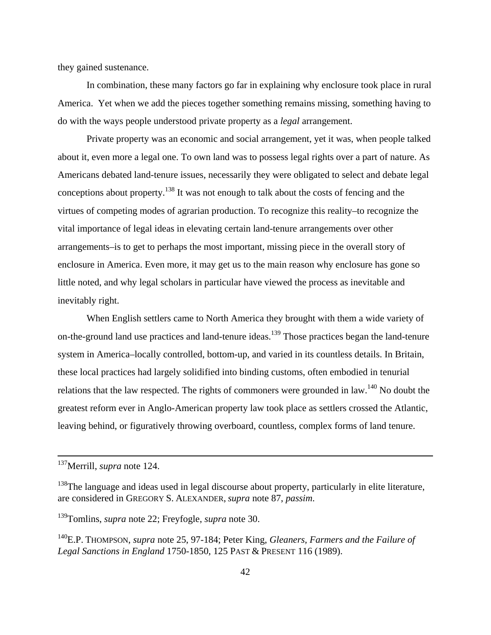they gained sustenance.

 In combination, these many factors go far in explaining why enclosure took place in rural America. Yet when we add the pieces together something remains missing, something having to do with the ways people understood private property as a *legal* arrangement.

 Private property was an economic and social arrangement, yet it was, when people talked about it, even more a legal one. To own land was to possess legal rights over a part of nature. As Americans debated land-tenure issues, necessarily they were obligated to select and debate legal conceptions about property.138 It was not enough to talk about the costs of fencing and the virtues of competing modes of agrarian production. To recognize this reality–to recognize the vital importance of legal ideas in elevating certain land-tenure arrangements over other arrangements–is to get to perhaps the most important, missing piece in the overall story of enclosure in America. Even more, it may get us to the main reason why enclosure has gone so little noted, and why legal scholars in particular have viewed the process as inevitable and inevitably right.

 When English settlers came to North America they brought with them a wide variety of on-the-ground land use practices and land-tenure ideas.139 Those practices began the land-tenure system in America–locally controlled, bottom-up, and varied in its countless details. In Britain, these local practices had largely solidified into binding customs, often embodied in tenurial relations that the law respected. The rights of commoners were grounded in law.<sup>140</sup> No doubt the greatest reform ever in Anglo-American property law took place as settlers crossed the Atlantic, leaving behind, or figuratively throwing overboard, countless, complex forms of land tenure.

 <sup>137</sup>Merrill, *supra* note 124.

 $138$ The language and ideas used in legal discourse about property, particularly in elite literature, are considered in GREGORY S. ALEXANDER, *supra* note 87, *passim*.

<sup>139</sup>Tomlins, *supra* note 22; Freyfogle, *supra* note 30.

<sup>140</sup>E.P. THOMPSON, *supra* note 25, 97-184; Peter King, *Gleaners, Farmers and the Failure of Legal Sanctions in England* 1750-1850, 125 PAST & PRESENT 116 (1989).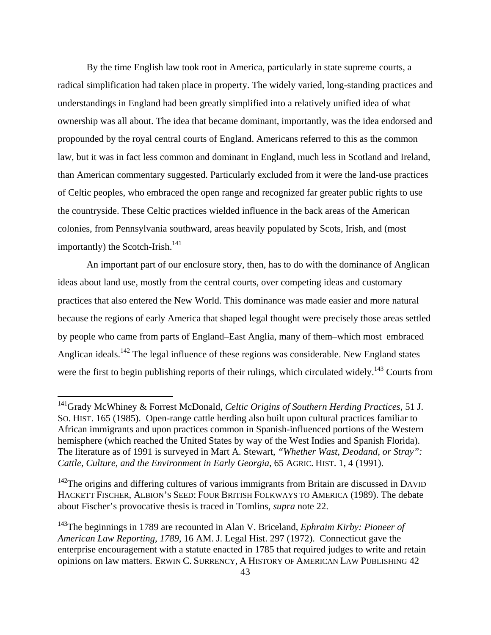By the time English law took root in America, particularly in state supreme courts, a radical simplification had taken place in property. The widely varied, long-standing practices and understandings in England had been greatly simplified into a relatively unified idea of what ownership was all about. The idea that became dominant, importantly, was the idea endorsed and propounded by the royal central courts of England. Americans referred to this as the common law, but it was in fact less common and dominant in England, much less in Scotland and Ireland, than American commentary suggested. Particularly excluded from it were the land-use practices of Celtic peoples, who embraced the open range and recognized far greater public rights to use the countryside. These Celtic practices wielded influence in the back areas of the American colonies, from Pennsylvania southward, areas heavily populated by Scots, Irish, and (most importantly) the Scotch-Irish. $^{141}$ 

 An important part of our enclosure story, then, has to do with the dominance of Anglican ideas about land use, mostly from the central courts, over competing ideas and customary practices that also entered the New World. This dominance was made easier and more natural because the regions of early America that shaped legal thought were precisely those areas settled by people who came from parts of England–East Anglia, many of them–which most embraced Anglican ideals.<sup>142</sup> The legal influence of these regions was considerable. New England states were the first to begin publishing reports of their rulings, which circulated widely.<sup>143</sup> Courts from

<sup>141</sup>Grady McWhiney & Forrest McDonald, *Celtic Origins of Southern Herding Practices*, 51 J. SO. HIST. 165 (1985). Open-range cattle herding also built upon cultural practices familiar to African immigrants and upon practices common in Spanish-influenced portions of the Western hemisphere (which reached the United States by way of the West Indies and Spanish Florida). The literature as of 1991 is surveyed in Mart A. Stewart, *"Whether Wast, Deodand, or Stray": Cattle, Culture, and the Environment in Early Georgia*, 65 AGRIC. HIST. 1, 4 (1991).

 $142$ The origins and differing cultures of various immigrants from Britain are discussed in DAVID HACKETT FISCHER, ALBION'S SEED: FOUR BRITISH FOLKWAYS TO AMERICA (1989). The debate about Fischer's provocative thesis is traced in Tomlins, *supra* note 22.

<sup>143</sup>The beginnings in 1789 are recounted in Alan V. Briceland, *Ephraim Kirby: Pioneer of American Law Reporting, 1789*, 16 AM. J. Legal Hist. 297 (1972). Connecticut gave the enterprise encouragement with a statute enacted in 1785 that required judges to write and retain opinions on law matters. ERWIN C. SURRENCY, A HISTORY OF AMERICAN LAW PUBLISHING 42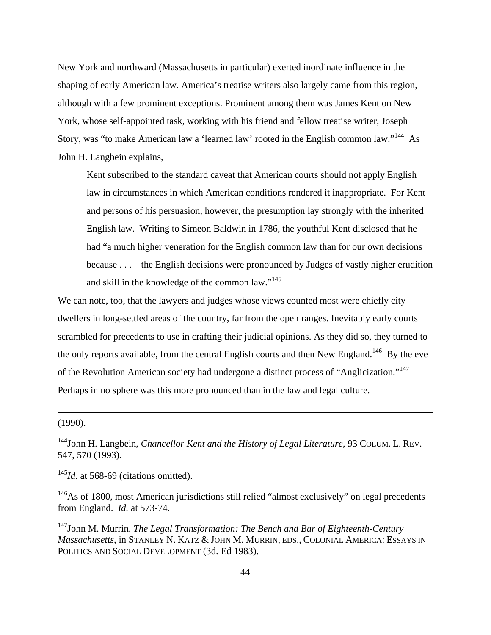New York and northward (Massachusetts in particular) exerted inordinate influence in the shaping of early American law. America's treatise writers also largely came from this region, although with a few prominent exceptions. Prominent among them was James Kent on New York, whose self-appointed task, working with his friend and fellow treatise writer, Joseph Story, was "to make American law a 'learned law' rooted in the English common law."144 As John H. Langbein explains,

Kent subscribed to the standard caveat that American courts should not apply English law in circumstances in which American conditions rendered it inappropriate. For Kent and persons of his persuasion, however, the presumption lay strongly with the inherited English law. Writing to Simeon Baldwin in 1786, the youthful Kent disclosed that he had "a much higher veneration for the English common law than for our own decisions because . . . the English decisions were pronounced by Judges of vastly higher erudition and skill in the knowledge of the common law."145

We can note, too, that the lawyers and judges whose views counted most were chiefly city dwellers in long-settled areas of the country, far from the open ranges. Inevitably early courts scrambled for precedents to use in crafting their judicial opinions. As they did so, they turned to the only reports available, from the central English courts and then New England.<sup>146</sup> By the eve of the Revolution American society had undergone a distinct process of "Anglicization."147 Perhaps in no sphere was this more pronounced than in the law and legal culture.

(1990).

<u>.</u>

144John H. Langbein, *Chancellor Kent and the History of Legal Literature*, 93 COLUM. L. REV. 547, 570 (1993).

<sup>145</sup>*Id.* at 568-69 (citations omitted).

<sup>146</sup>As of 1800, most American jurisdictions still relied "almost exclusively" on legal precedents from England. *Id.* at 573-74.

147John M. Murrin, *The Legal Transformation: The Bench and Bar of Eighteenth-Century Massachusetts*, in STANLEY N. KATZ & JOHN M. MURRIN, EDS., COLONIAL AMERICA: ESSAYS IN POLITICS AND SOCIAL DEVELOPMENT (3d. Ed 1983).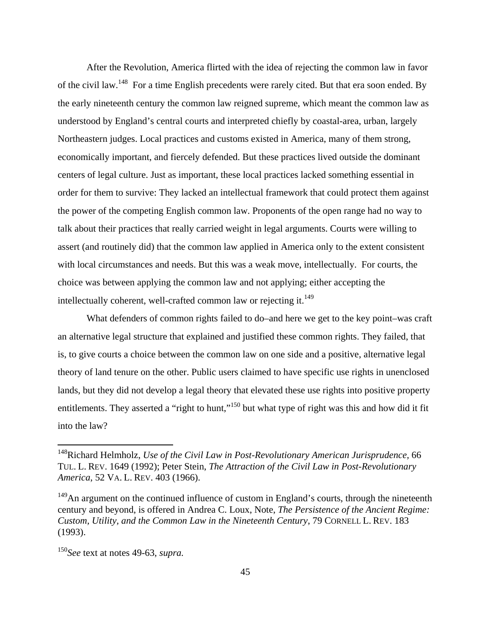After the Revolution, America flirted with the idea of rejecting the common law in favor of the civil law.<sup>148</sup> For a time English precedents were rarely cited. But that era soon ended. By the early nineteenth century the common law reigned supreme, which meant the common law as understood by England's central courts and interpreted chiefly by coastal-area, urban, largely Northeastern judges. Local practices and customs existed in America, many of them strong, economically important, and fiercely defended. But these practices lived outside the dominant centers of legal culture. Just as important, these local practices lacked something essential in order for them to survive: They lacked an intellectual framework that could protect them against the power of the competing English common law. Proponents of the open range had no way to talk about their practices that really carried weight in legal arguments. Courts were willing to assert (and routinely did) that the common law applied in America only to the extent consistent with local circumstances and needs. But this was a weak move, intellectually. For courts, the choice was between applying the common law and not applying; either accepting the intellectually coherent, well-crafted common law or rejecting it. $149$ 

What defenders of common rights failed to do–and here we get to the key point–was craft an alternative legal structure that explained and justified these common rights. They failed, that is, to give courts a choice between the common law on one side and a positive, alternative legal theory of land tenure on the other. Public users claimed to have specific use rights in unenclosed lands, but they did not develop a legal theory that elevated these use rights into positive property entitlements. They asserted a "right to hunt,"<sup>150</sup> but what type of right was this and how did it fit into the law?

<sup>148</sup>Richard Helmholz, *Use of the Civil Law in Post-Revolutionary American Jurisprudence,* 66 TUL. L. REV. 1649 (1992); Peter Stein, *The Attraction of the Civil Law in Post-Revolutionary America*, 52 VA. L. REV. 403 (1966).

 $149$ An argument on the continued influence of custom in England's courts, through the nineteenth century and beyond, is offered in Andrea C. Loux, Note, *The Persistence of the Ancient Regime: Custom, Utility, and the Common Law in the Nineteenth Century*, 79 CORNELL L. REV. 183 (1993).

<sup>150</sup>*See* text at notes 49-63, *supra.*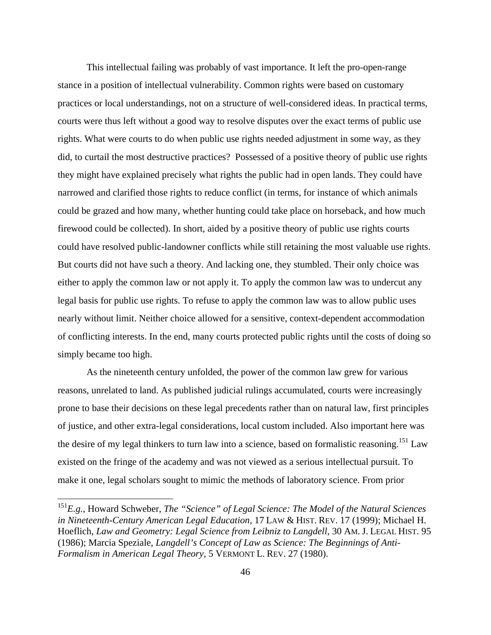This intellectual failing was probably of vast importance. It left the pro-open-range stance in a position of intellectual vulnerability. Common rights were based on customary practices or local understandings, not on a structure of well-considered ideas. In practical terms, courts were thus left without a good way to resolve disputes over the exact terms of public use rights. What were courts to do when public use rights needed adjustment in some way, as they did, to curtail the most destructive practices? Possessed of a positive theory of public use rights they might have explained precisely what rights the public had in open lands. They could have narrowed and clarified those rights to reduce conflict (in terms, for instance of which animals could be grazed and how many, whether hunting could take place on horseback, and how much firewood could be collected). In short, aided by a positive theory of public use rights courts could have resolved public-landowner conflicts while still retaining the most valuable use rights. But courts did not have such a theory. And lacking one, they stumbled. Their only choice was either to apply the common law or not apply it. To apply the common law was to undercut any legal basis for public use rights. To refuse to apply the common law was to allow public uses nearly without limit. Neither choice allowed for a sensitive, context-dependent accommodation of conflicting interests. In the end, many courts protected public rights until the costs of doing so simply became too high.

 As the nineteenth century unfolded, the power of the common law grew for various reasons, unrelated to land. As published judicial rulings accumulated, courts were increasingly prone to base their decisions on these legal precedents rather than on natural law, first principles of justice, and other extra-legal considerations, local custom included. Also important here was the desire of my legal thinkers to turn law into a science, based on formalistic reasoning.<sup>151</sup> Law existed on the fringe of the academy and was not viewed as a serious intellectual pursuit. To make it one, legal scholars sought to mimic the methods of laboratory science. From prior

1

<sup>151</sup>*E.g.*, Howard Schweber, *The "Science" of Legal Science: The Model of the Natural Sciences in Nineteenth-Century American Legal Education,* 17 LAW & HIST. REV. 17 (1999); Michael H. Hoeflich, *Law and Geometry: Legal Science from Leibniz to Langdell*, 30 AM. J. LEGAL HIST. 95 (1986); Marcia Speziale, *Langdell's Concept of Law as Science: The Beginnings of Anti-Formalism in American Legal Theory*, 5 VERMONT L. REV. 27 (1980).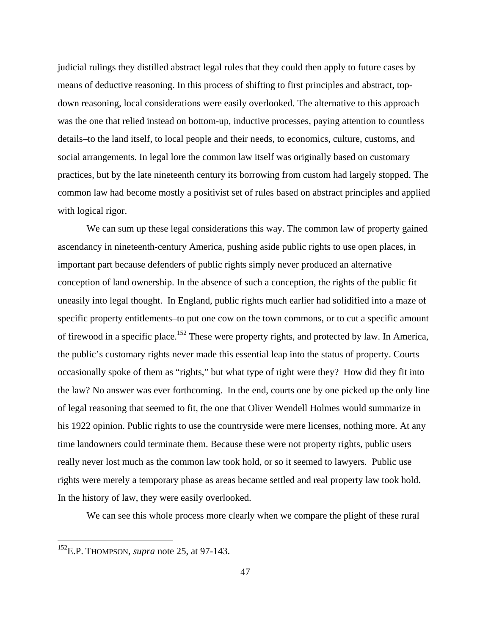judicial rulings they distilled abstract legal rules that they could then apply to future cases by means of deductive reasoning. In this process of shifting to first principles and abstract, topdown reasoning, local considerations were easily overlooked. The alternative to this approach was the one that relied instead on bottom-up, inductive processes, paying attention to countless details–to the land itself, to local people and their needs, to economics, culture, customs, and social arrangements. In legal lore the common law itself was originally based on customary practices, but by the late nineteenth century its borrowing from custom had largely stopped. The common law had become mostly a positivist set of rules based on abstract principles and applied with logical rigor.

 We can sum up these legal considerations this way. The common law of property gained ascendancy in nineteenth-century America, pushing aside public rights to use open places, in important part because defenders of public rights simply never produced an alternative conception of land ownership. In the absence of such a conception, the rights of the public fit uneasily into legal thought. In England, public rights much earlier had solidified into a maze of specific property entitlements–to put one cow on the town commons, or to cut a specific amount of firewood in a specific place.152 These were property rights, and protected by law. In America, the public's customary rights never made this essential leap into the status of property. Courts occasionally spoke of them as "rights," but what type of right were they? How did they fit into the law? No answer was ever forthcoming. In the end, courts one by one picked up the only line of legal reasoning that seemed to fit, the one that Oliver Wendell Holmes would summarize in his 1922 opinion. Public rights to use the countryside were mere licenses, nothing more. At any time landowners could terminate them. Because these were not property rights, public users really never lost much as the common law took hold, or so it seemed to lawyers. Public use rights were merely a temporary phase as areas became settled and real property law took hold. In the history of law, they were easily overlooked.

We can see this whole process more clearly when we compare the plight of these rural

<sup>152</sup>E.P. THOMPSON, *supra* note 25, at 97-143.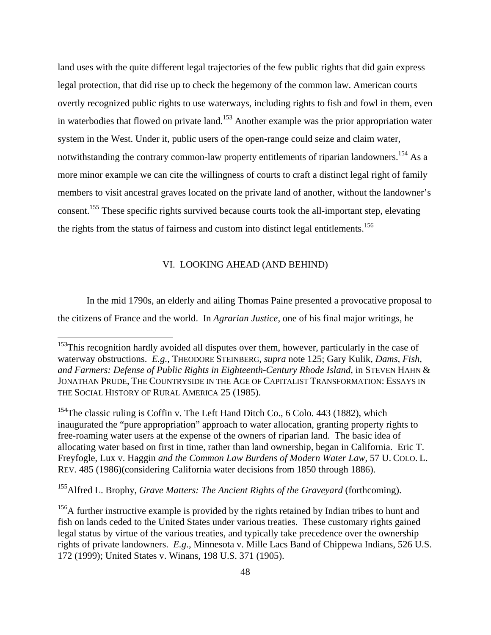land uses with the quite different legal trajectories of the few public rights that did gain express legal protection, that did rise up to check the hegemony of the common law. American courts overtly recognized public rights to use waterways, including rights to fish and fowl in them, even in waterbodies that flowed on private land.<sup>153</sup> Another example was the prior appropriation water system in the West. Under it, public users of the open-range could seize and claim water, notwithstanding the contrary common-law property entitlements of riparian landowners.<sup>154</sup> As a more minor example we can cite the willingness of courts to craft a distinct legal right of family members to visit ancestral graves located on the private land of another, without the landowner's consent.155 These specific rights survived because courts took the all-important step, elevating the rights from the status of fairness and custom into distinct legal entitlements.<sup>156</sup>

# VI. LOOKING AHEAD (AND BEHIND)

 In the mid 1790s, an elderly and ailing Thomas Paine presented a provocative proposal to the citizens of France and the world. In *Agrarian Justice*, one of his final major writings, he

 $\overline{a}$ 

 $154$ The classic ruling is Coffin v. The Left Hand Ditch Co., 6 Colo. 443 (1882), which inaugurated the "pure appropriation" approach to water allocation, granting property rights to free-roaming water users at the expense of the owners of riparian land. The basic idea of allocating water based on first in time, rather than land ownership, began in California. Eric T. Freyfogle, Lux v. Haggin *and the Common Law Burdens of Modern Water Law*, 57 U. COLO. L. REV. 485 (1986)(considering California water decisions from 1850 through 1886).

155Alfred L. Brophy, *Grave Matters: The Ancient Rights of the Graveyard* (forthcoming).

<sup>156</sup>A further instructive example is provided by the rights retained by Indian tribes to hunt and fish on lands ceded to the United States under various treaties. These customary rights gained legal status by virtue of the various treaties, and typically take precedence over the ownership rights of private landowners. *E.g*., Minnesota v. Mille Lacs Band of Chippewa Indians, 526 U.S. 172 (1999); United States v. Winans, 198 U.S. 371 (1905).

 $153$ This recognition hardly avoided all disputes over them, however, particularly in the case of waterway obstructions. *E.g.,* THEODORE STEINBERG, *supra* note 125; Gary Kulik, *Dams, Fish, and Farmers: Defense of Public Rights in Eighteenth-Century Rhode Island*, in STEVEN HAHN & JONATHAN PRUDE, THE COUNTRYSIDE IN THE AGE OF CAPITALIST TRANSFORMATION: ESSAYS IN THE SOCIAL HISTORY OF RURAL AMERICA 25 (1985).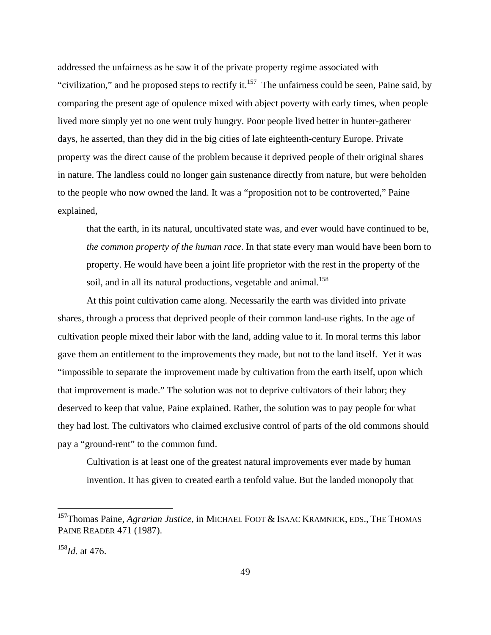addressed the unfairness as he saw it of the private property regime associated with "civilization," and he proposed steps to rectify it.<sup>157</sup> The unfairness could be seen, Paine said, by comparing the present age of opulence mixed with abject poverty with early times, when people lived more simply yet no one went truly hungry. Poor people lived better in hunter-gatherer days, he asserted, than they did in the big cities of late eighteenth-century Europe. Private property was the direct cause of the problem because it deprived people of their original shares in nature. The landless could no longer gain sustenance directly from nature, but were beholden to the people who now owned the land. It was a "proposition not to be controverted," Paine explained,

that the earth, in its natural, uncultivated state was, and ever would have continued to be, *the common property of the human race*. In that state every man would have been born to property. He would have been a joint life proprietor with the rest in the property of the soil, and in all its natural productions, vegetable and animal.<sup>158</sup>

 At this point cultivation came along. Necessarily the earth was divided into private shares, through a process that deprived people of their common land-use rights. In the age of cultivation people mixed their labor with the land, adding value to it. In moral terms this labor gave them an entitlement to the improvements they made, but not to the land itself. Yet it was "impossible to separate the improvement made by cultivation from the earth itself, upon which that improvement is made." The solution was not to deprive cultivators of their labor; they deserved to keep that value, Paine explained. Rather, the solution was to pay people for what they had lost. The cultivators who claimed exclusive control of parts of the old commons should pay a "ground-rent" to the common fund.

Cultivation is at least one of the greatest natural improvements ever made by human invention. It has given to created earth a tenfold value. But the landed monopoly that

<sup>157</sup>Thomas Paine, *Agrarian Justice*, in MICHAEL FOOT & ISAAC KRAMNICK, EDS., THE THOMAS PAINE READER 471 (1987).

<sup>158</sup>*Id.* at 476.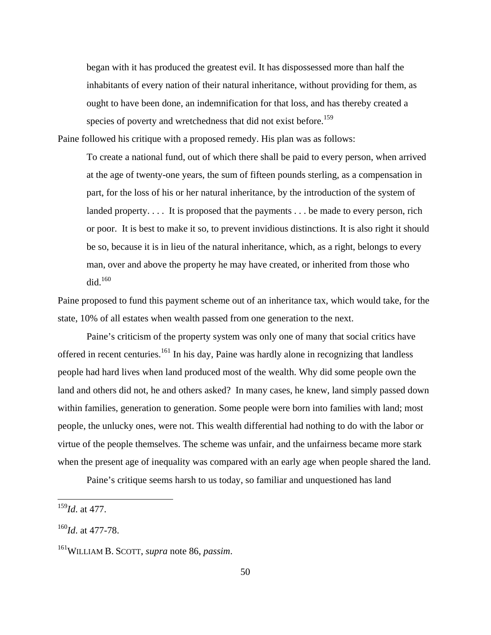began with it has produced the greatest evil. It has dispossessed more than half the inhabitants of every nation of their natural inheritance, without providing for them, as ought to have been done, an indemnification for that loss, and has thereby created a species of poverty and wretchedness that did not exist before.<sup>159</sup>

Paine followed his critique with a proposed remedy. His plan was as follows:

To create a national fund, out of which there shall be paid to every person, when arrived at the age of twenty-one years, the sum of fifteen pounds sterling, as a compensation in part, for the loss of his or her natural inheritance, by the introduction of the system of landed property.... It is proposed that the payments ... be made to every person, rich or poor. It is best to make it so, to prevent invidious distinctions. It is also right it should be so, because it is in lieu of the natural inheritance, which, as a right, belongs to every man, over and above the property he may have created, or inherited from those who  $did.<sup>160</sup>$ 

Paine proposed to fund this payment scheme out of an inheritance tax, which would take, for the state, 10% of all estates when wealth passed from one generation to the next.

 Paine's criticism of the property system was only one of many that social critics have offered in recent centuries.<sup>161</sup> In his day, Paine was hardly alone in recognizing that landless people had hard lives when land produced most of the wealth. Why did some people own the land and others did not, he and others asked? In many cases, he knew, land simply passed down within families, generation to generation. Some people were born into families with land; most people, the unlucky ones, were not. This wealth differential had nothing to do with the labor or virtue of the people themselves. The scheme was unfair, and the unfairness became more stark when the present age of inequality was compared with an early age when people shared the land.

Paine's critique seems harsh to us today, so familiar and unquestioned has land

<sup>159</sup>*Id*. at 477.

<sup>160</sup>*Id*. at 477-78.

<sup>161</sup>WILLIAM B. SCOTT, *supra* note 86, *passim*.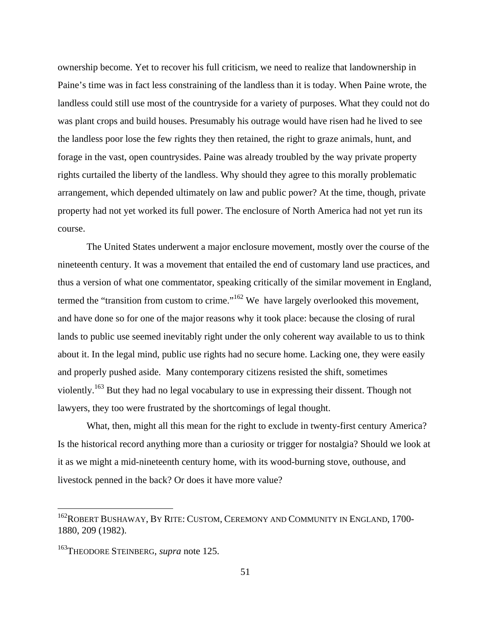ownership become. Yet to recover his full criticism, we need to realize that landownership in Paine's time was in fact less constraining of the landless than it is today. When Paine wrote, the landless could still use most of the countryside for a variety of purposes. What they could not do was plant crops and build houses. Presumably his outrage would have risen had he lived to see the landless poor lose the few rights they then retained, the right to graze animals, hunt, and forage in the vast, open countrysides. Paine was already troubled by the way private property rights curtailed the liberty of the landless. Why should they agree to this morally problematic arrangement, which depended ultimately on law and public power? At the time, though, private property had not yet worked its full power. The enclosure of North America had not yet run its course.

 The United States underwent a major enclosure movement, mostly over the course of the nineteenth century. It was a movement that entailed the end of customary land use practices, and thus a version of what one commentator, speaking critically of the similar movement in England, termed the "transition from custom to crime."<sup>162</sup> We have largely overlooked this movement, and have done so for one of the major reasons why it took place: because the closing of rural lands to public use seemed inevitably right under the only coherent way available to us to think about it. In the legal mind, public use rights had no secure home. Lacking one, they were easily and properly pushed aside. Many contemporary citizens resisted the shift, sometimes violently.163 But they had no legal vocabulary to use in expressing their dissent. Though not lawyers, they too were frustrated by the shortcomings of legal thought.

 What, then, might all this mean for the right to exclude in twenty-first century America? Is the historical record anything more than a curiosity or trigger for nostalgia? Should we look at it as we might a mid-nineteenth century home, with its wood-burning stove, outhouse, and livestock penned in the back? Or does it have more value?

<sup>&</sup>lt;sup>162</sup>ROBERT BUSHAWAY, BY RITE: CUSTOM, CEREMONY AND COMMUNITY IN ENGLAND, 1700-1880, 209 (1982).

<sup>163</sup>THEODORE STEINBERG, *supra* note 125.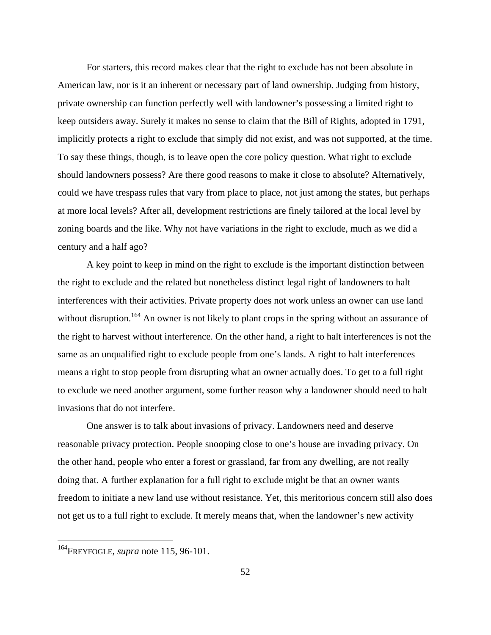For starters, this record makes clear that the right to exclude has not been absolute in American law, nor is it an inherent or necessary part of land ownership. Judging from history, private ownership can function perfectly well with landowner's possessing a limited right to keep outsiders away. Surely it makes no sense to claim that the Bill of Rights, adopted in 1791, implicitly protects a right to exclude that simply did not exist, and was not supported, at the time. To say these things, though, is to leave open the core policy question. What right to exclude should landowners possess? Are there good reasons to make it close to absolute? Alternatively, could we have trespass rules that vary from place to place, not just among the states, but perhaps at more local levels? After all, development restrictions are finely tailored at the local level by zoning boards and the like. Why not have variations in the right to exclude, much as we did a century and a half ago?

 A key point to keep in mind on the right to exclude is the important distinction between the right to exclude and the related but nonetheless distinct legal right of landowners to halt interferences with their activities. Private property does not work unless an owner can use land without disruption.<sup>164</sup> An owner is not likely to plant crops in the spring without an assurance of the right to harvest without interference. On the other hand, a right to halt interferences is not the same as an unqualified right to exclude people from one's lands. A right to halt interferences means a right to stop people from disrupting what an owner actually does. To get to a full right to exclude we need another argument, some further reason why a landowner should need to halt invasions that do not interfere.

 One answer is to talk about invasions of privacy. Landowners need and deserve reasonable privacy protection. People snooping close to one's house are invading privacy. On the other hand, people who enter a forest or grassland, far from any dwelling, are not really doing that. A further explanation for a full right to exclude might be that an owner wants freedom to initiate a new land use without resistance. Yet, this meritorious concern still also does not get us to a full right to exclude. It merely means that, when the landowner's new activity

<sup>164</sup>FREYFOGLE, *supra* note 115, 96-101.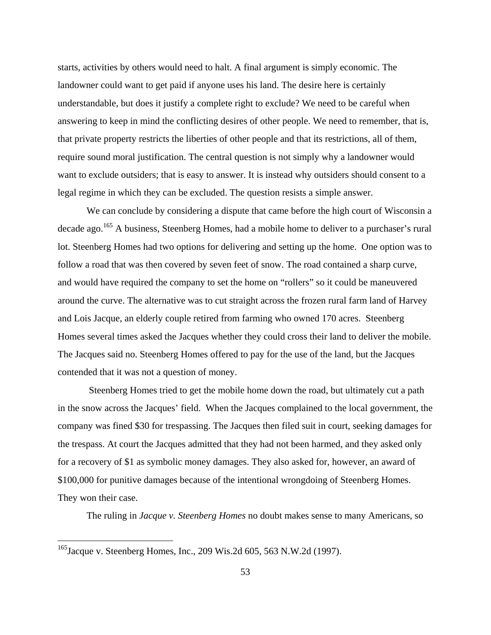starts, activities by others would need to halt. A final argument is simply economic. The landowner could want to get paid if anyone uses his land. The desire here is certainly understandable, but does it justify a complete right to exclude? We need to be careful when answering to keep in mind the conflicting desires of other people. We need to remember, that is, that private property restricts the liberties of other people and that its restrictions, all of them, require sound moral justification. The central question is not simply why a landowner would want to exclude outsiders; that is easy to answer. It is instead why outsiders should consent to a legal regime in which they can be excluded. The question resists a simple answer.

 We can conclude by considering a dispute that came before the high court of Wisconsin a decade ago.<sup>165</sup> A business, Steenberg Homes, had a mobile home to deliver to a purchaser's rural lot. Steenberg Homes had two options for delivering and setting up the home. One option was to follow a road that was then covered by seven feet of snow. The road contained a sharp curve, and would have required the company to set the home on "rollers" so it could be maneuvered around the curve. The alternative was to cut straight across the frozen rural farm land of Harvey and Lois Jacque, an elderly couple retired from farming who owned 170 acres. Steenberg Homes several times asked the Jacques whether they could cross their land to deliver the mobile. The Jacques said no. Steenberg Homes offered to pay for the use of the land, but the Jacques contended that it was not a question of money.

 Steenberg Homes tried to get the mobile home down the road, but ultimately cut a path in the snow across the Jacques' field. When the Jacques complained to the local government, the company was fined \$30 for trespassing. The Jacques then filed suit in court, seeking damages for the trespass. At court the Jacques admitted that they had not been harmed, and they asked only for a recovery of \$1 as symbolic money damages. They also asked for, however, an award of \$100,000 for punitive damages because of the intentional wrongdoing of Steenberg Homes. They won their case.

The ruling in *Jacque v. Steenberg Homes* no doubt makes sense to many Americans, so

1

 $165$ Jacque v. Steenberg Homes, Inc., 209 Wis.2d 605, 563 N.W.2d (1997).